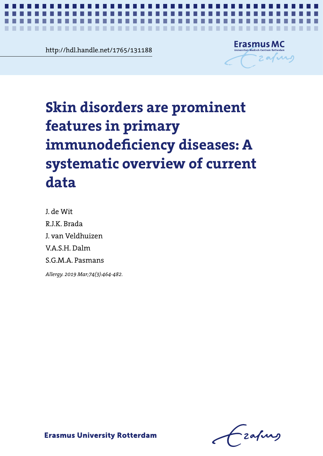mai.nandie.net/1/65/131188<br> **Chapter 2018** http://hdl.handle.net/1765/131188



# **Skin disorders are prominent**  $\frac{1}{1}$ A systematic overview of current data and the current data and the current data and a signal of the current da **features in primary immunodeficiency diseases: A systematic overview of current data**

*Systematic review on skin disorders in primary immunodeficiency diseases* **1**

J. de Wit R.J.K. Brada J. van Veldhuizen V.A.S.H. Dalm S.G.M.A. Pasmans

*Allergy. 2019 Mar;74(3):464-482.*

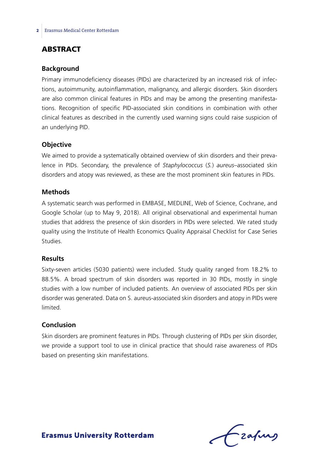### **ABSTRACT**

#### **Background**

Primary immunodeficiency diseases (PIDs) are characterized by an increased risk of infections, autoimmunity, autoinflammation, malignancy, and allergic disorders. Skin disorders are also common clinical features in PIDs and may be among the presenting manifestations. Recognition of specific PID-associated skin conditions in combination with other clinical features as described in the currently used warning signs could raise suspicion of an underlying PID.

#### **Objective**

We aimed to provide a systematically obtained overview of skin disorders and their prevalence in PIDs. Secondary, the prevalence of *Staphylococcus* (*S.*) *aureus*–associated skin disorders and atopy was reviewed, as these are the most prominent skin features in PIDs.

#### **Methods**

A systematic search was performed in EMBASE, MEDLINE, Web of Science, Cochrane, and Google Scholar (up to May 9, 2018). All original observational and experimental human studies that address the presence of skin disorders in PIDs were selected. We rated study quality using the Institute of Health Economics Quality Appraisal Checklist for Case Series Studies.

#### **Results**

Sixty-seven articles (5030 patients) were included. Study quality ranged from 18.2% to 88.5%. A broad spectrum of skin disorders was reported in 30 PIDs, mostly in single studies with a low number of included patients. An overview of associated PIDs per skin disorder was generated. Data on S. aureus-associated skin disorders and atopy in PIDs were limited.

#### **Conclusion**

Skin disorders are prominent features in PIDs. Through clustering of PIDs per skin disorder, we provide a support tool to use in clinical practice that should raise awareness of PIDs based on presenting skin manifestations.

Lzafurg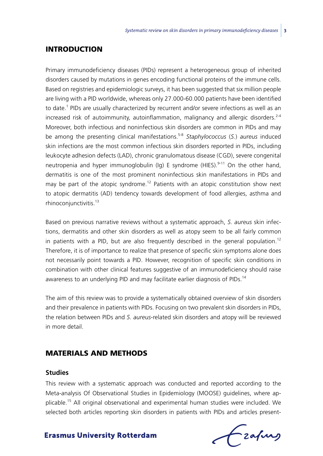#### **INTRODUCTION**

Primary immunodeficiency diseases (PIDs) represent a heterogeneous group of inherited disorders caused by mutations in genes encoding functional proteins of the immune cells. Based on registries and epidemiologic surveys, it has been suggested that six million people are living with a PID worldwide, whereas only 27.000-60.000 patients have been identified to date.<sup>1</sup> PIDs are usually characterized by recurrent and/or severe infections as well as an increased risk of autoimmunity, autoinflammation, malignancy and allergic disorders.<sup>2-4</sup> Moreover, both infectious and noninfectious skin disorders are common in PIDs and may be among the presenting clinical manifestations.5-8 *Staphylococcus* (*S.*) *aureus* induced skin infections are the most common infectious skin disorders reported in PIDs, including leukocyte adhesion defects (LAD), chronic granulomatous disease (CGD), severe congenital neutropenia and hyper immunoglobulin (Ig) E syndrome (HIES).<sup>9-11</sup> On the other hand, dermatitis is one of the most prominent noninfectious skin manifestations in PIDs and may be part of the atopic syndrome.<sup>12</sup> Patients with an atopic constitution show next to atopic dermatitis (AD) tendency towards development of food allergies, asthma and rhinoconjunctivitis.<sup>13</sup>

Based on previous narrative reviews without a systematic approach, *S. aureus* skin infections, dermatitis and other skin disorders as well as atopy seem to be all fairly common in patients with a PID, but are also frequently described in the general population.<sup>12</sup> Therefore, it is of importance to realize that presence of specific skin symptoms alone does not necessarily point towards a PID. However, recognition of specific skin conditions in combination with other clinical features suggestive of an immunodeficiency should raise awareness to an underlying PID and may facilitate earlier diagnosis of PIDs.<sup>14</sup>

The aim of this review was to provide a systematically obtained overview of skin disorders and their prevalence in patients with PIDs. Focusing on two prevalent skin disorders in PIDs, the relation between PIDs and *S. aureus*-related skin disorders and atopy will be reviewed in more detail.

### Materials and methods

#### **Studies**

This review with a systematic approach was conducted and reported according to the Meta-analysis Of Observational Studies in Epidemiology (MOOSE) guidelines, where applicable.15 All original observational and experimental human studies were included. We selected both articles reporting skin disorders in patients with PIDs and articles present-

frafing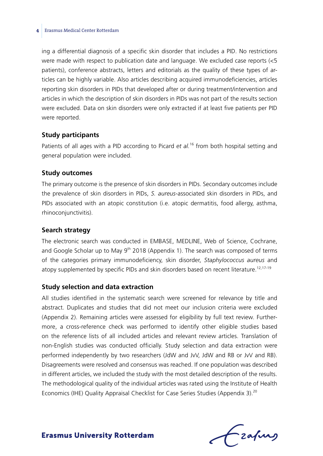ing a differential diagnosis of a specific skin disorder that includes a PID. No restrictions were made with respect to publication date and language. We excluded case reports (<5 patients), conference abstracts, letters and editorials as the quality of these types of articles can be highly variable. Also articles describing acquired immunodeficiencies, articles reporting skin disorders in PIDs that developed after or during treatment/intervention and articles in which the description of skin disorders in PIDs was not part of the results section were excluded. Data on skin disorders were only extracted if at least five patients per PID were reported.

#### **Study participants**

Patients of all ages with a PID according to Picard et al.<sup>16</sup> from both hospital setting and general population were included.

#### **Study outcomes**

The primary outcome is the presence of skin disorders in PIDs. Secondary outcomes include the prevalence of skin disorders in PIDs, *S. aureus*-associated skin disorders in PIDs, and PIDs associated with an atopic constitution (i.e. atopic dermatitis, food allergy, asthma, rhinoconjunctivitis).

#### **Search strategy**

The electronic search was conducted in EMBASE, MEDLINE, Web of Science, Cochrane, and Google Scholar up to May  $9<sup>th</sup>$  2018 (Appendix 1). The search was composed of terms of the categories primary immunodeficiency, skin disorder, *Staphylococcus aureus* and atopy supplemented by specific PIDs and skin disorders based on recent literature.<sup>12,17-19</sup>

#### **Study selection and data extraction**

All studies identified in the systematic search were screened for relevance by title and abstract. Duplicates and studies that did not meet our inclusion criteria were excluded (Appendix 2). Remaining articles were assessed for eligibility by full text review. Furthermore, a cross-reference check was performed to identify other eligible studies based on the reference lists of all included articles and relevant review articles. Translation of non-English studies was conducted officially. Study selection and data extraction were performed independently by two researchers (JdW and JvV, JdW and RB or JvV and RB). Disagreements were resolved and consensus was reached. If one population was described in different articles, we included the study with the most detailed description of the results. The methodological quality of the individual articles was rated using the Institute of Health Economics (IHE) Quality Appraisal Checklist for Case Series Studies (Appendix 3).<sup>20</sup>

frafing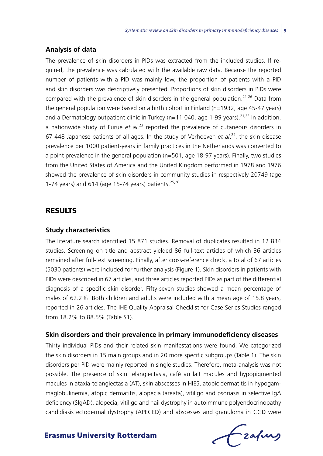#### **Analysis of data**

The prevalence of skin disorders in PIDs was extracted from the included studies. If required, the prevalence was calculated with the available raw data. Because the reported number of patients with a PID was mainly low, the proportion of patients with a PID and skin disorders was descriptively presented. Proportions of skin disorders in PIDs were compared with the prevalence of skin disorders in the general population.<sup>21-26</sup> Data from the general population were based on a birth cohort in Finland (n=1932, age 45-47 years) and a Dermatology outpatient clinic in Turkey (n=11 040, age 1-99 years).<sup>21,22</sup> In addition, a nationwide study of Furue et al.<sup>23</sup> reported the prevalence of cutaneous disorders in 67 448 Japanese patients of all ages. In the study of Verhoeven *et al*. 24, the skin disease prevalence per 1000 patient-years in family practices in the Netherlands was converted to a point prevalence in the general population (n=501, age 18-97 years). Finally, two studies from the United States of America and the United Kingdom performed in 1978 and 1976 showed the prevalence of skin disorders in community studies in respectively 20749 (age 1-74 years) and 614 (age 15-74 years) patients.<sup>25,26</sup>

### **RESULTS**

#### **Study characteristics**

The literature search identified 15 871 studies. Removal of duplicates resulted in 12 834 studies. Screening on title and abstract yielded 86 full-text articles of which 36 articles remained after full-text screening. Finally, after cross-reference check, a total of 67 articles (5030 patients) were included for further analysis (Figure 1). Skin disorders in patients with PIDs were described in 67 articles, and three articles reported PIDs as part of the differential diagnosis of a specific skin disorder. Fifty-seven studies showed a mean percentage of males of 62.2%. Both children and adults were included with a mean age of 15.8 years, reported in 26 articles. The IHE Quality Appraisal Checklist for Case Series Studies ranged from 18.2% to 88.5% (Table S1).

#### **Skin disorders and their prevalence in primary immunodeficiency diseases**

Thirty individual PIDs and their related skin manifestations were found. We categorized the skin disorders in 15 main groups and in 20 more specific subgroups (Table 1). The skin disorders per PID were mainly reported in single studies. Therefore, meta-analysis was not possible. The presence of skin telangiectasia, café au lait macules and hypopigmented macules in ataxia-telangiectasia (AT), skin abscesses in HIES, atopic dermatitis in hypogammaglobulinemia, atopic dermatitis, alopecia (areata), vitiligo and psoriasis in selective IgA deficiency (SIgAD), alopecia, vitiligo and nail dystrophy in autoimmune polyendocrinopathy candidiasis ectodermal dystrophy (APECED) and abscesses and granuloma in CGD were

Czafing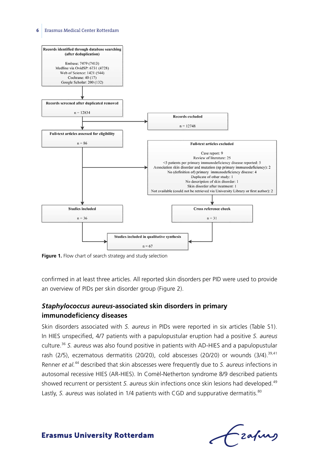

Figure 1. Flow chart of search strategy and study selection

confirmed in at least three articles. All reported skin disorders per PID were used to provide an overview of PIDs per skin disorder group (Figure 2).

# *Staphylococcus aureus***-associated skin disorders in primary immunodeficiency diseases**

Skin disorders associated with *S. aureus* in PIDs were reported in six articles (Table S1). In HIES unspecified, 4/7 patients with a papulopustular eruption had a positive *S. aureus*  culture.<sup>36</sup> *S. aureus* was also found positive in patients with AD-HIES and a papulopustular rash (2/5), eczematous dermatitis (20/20), cold abscesses (20/20) or wounds (3/4).<sup>39,41</sup> Renner *et al.*44 described that skin abscesses were frequently due to *S. aureus* infections in autosomal recessive HIES (AR-HIES). In Comèl-Netherton syndrome 8/9 described patients showed recurrent or persistent *S. aureus* skin infections once skin lesions had developed.<sup>49</sup> Lastly, *S. aureus* was isolated in 1/4 patients with CGD and suppurative dermatitis.<sup>80</sup>

 $f$  zafung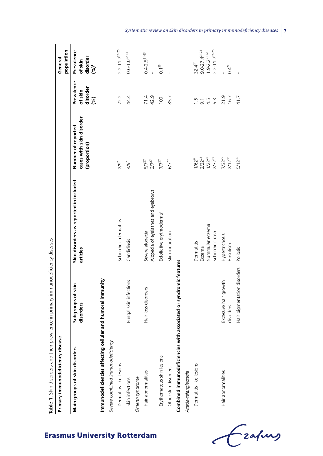| Table 1. Skin disorders and their prevalence in primary immunodeficiency diseases |                                    |                                                       |                                                                  |                                          |                                                      |
|-----------------------------------------------------------------------------------|------------------------------------|-------------------------------------------------------|------------------------------------------------------------------|------------------------------------------|------------------------------------------------------|
| Primary immunodeficiency disease                                                  |                                    |                                                       |                                                                  |                                          | population<br>General                                |
| Main groups of skin disorders                                                     | Subgroups of skin<br>disorders     | Skin disorders as reported in included<br>articles    | cases with skin disorder<br>Number of reported<br>(proportion)   | Prevalence<br>disorder<br>of skin<br>(%) | Prevalence<br>of skin<br>disorder<br>$(96)^+$        |
| Immunodeficiencies affecting cellular and humoral immunity                        |                                    |                                                       |                                                                  |                                          |                                                      |
| Severe combined immunodeficiency                                                  |                                    |                                                       |                                                                  |                                          |                                                      |
| Dermatitis-like lesions                                                           |                                    | Seborrheic dermatitis                                 | 2/9 <sup>7</sup>                                                 | 22.2                                     | $2.2 - 11.7$ <sup>21-25</sup>                        |
| Skin infections                                                                   | Fungal skin infections             | Candidiasis                                           | 4/9 <sup>7</sup>                                                 | 44.4                                     | $0.6 - 1.0^{22.23}$                                  |
| Omenn syndrome                                                                    |                                    |                                                       |                                                                  |                                          |                                                      |
| Hair abnormalities                                                                | Hair loss disorders                | Alopecia of eyelashes and eyebrows<br>Severe alopecia | $37^{27}$<br>$57^{27}$                                           | 71.4<br>42.9                             | $0.4 - 2.5^{21 - 23}$                                |
| Erythematous skin lesions                                                         |                                    | Exfoliative erythroderma <sup>a</sup>                 | $77^{27}$                                                        | 100                                      | $0.1^{23}$                                           |
| Other skin disorders                                                              |                                    | Skin induration                                       | $67^{27}$                                                        | 85.7                                     |                                                      |
| Combined immunodeficiencies with associated or syndromic features                 |                                    |                                                       |                                                                  |                                          |                                                      |
| Ataxia-telangiectasia                                                             |                                    |                                                       |                                                                  |                                          |                                                      |
| Dermatitis-like lesions                                                           |                                    | Dermatitis                                            | $1/62^{6}$                                                       | $\frac{6}{1}$                            | $32.4^{24}$                                          |
|                                                                                   |                                    | Eczema                                                |                                                                  |                                          | $9.0 - 27.4$ <sup>21,26</sup>                        |
|                                                                                   |                                    | Nummular eczema<br>Seborrheic rash                    | $\begin{array}{c} 2/22^{28}\\ 1/22^{28}\\ 2/32^{29} \end{array}$ | $9.49$<br>$9.49$                         | $2.2 - 11.7$ <sup>21-25</sup><br>$1.9 - 2.2^{21.22}$ |
| Hair abnormalities                                                                | Excessive hair growth<br>disorders | Hypertrichosis<br>Hirsutism                           | $7/32^{29}$<br>$2/12^{30}$                                       | 21.9<br>16.7                             | $0.4^{22}$                                           |
|                                                                                   | Hair pigmentation disorders        | Poliosis                                              | $5/12^{30}$                                                      | 41.7                                     |                                                      |

*Systematic review on skin disorders in primary immunodeficiency diseases* **7**

Czapus  $\epsilon$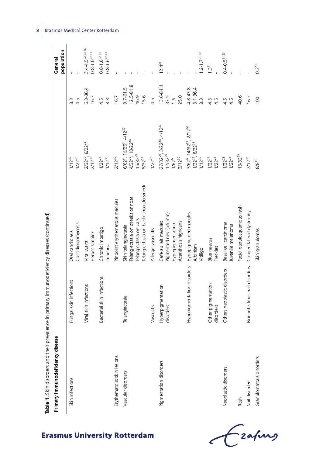| Table 1. Skin disorders and their | prevalence in primary immunodeficiency diseases (continued) |                                                                                                                             |                                                                                                                                  |                                               |                                                              |
|-----------------------------------|-------------------------------------------------------------|-----------------------------------------------------------------------------------------------------------------------------|----------------------------------------------------------------------------------------------------------------------------------|-----------------------------------------------|--------------------------------------------------------------|
| Primary immunodeficiency disease  |                                                             |                                                                                                                             |                                                                                                                                  |                                               | population<br>General                                        |
| Skin infections                   | Fungal skin infections                                      | Coccidioidomycosis<br>Oral candidiasis                                                                                      | $1/22^{28}$<br>$1/12^{30}$                                                                                                       | $\frac{3}{8}$<br>4.5                          |                                                              |
|                                   | Viral skin infections                                       | Herpes simplex<br>Viral warts                                                                                               | $2/32^{29}$ , $8/22^{28}$<br>$2/12^{30}$                                                                                         | $6.3 - 36.4$<br>16.7                          | $3.4 - 4.5^{22,23,26}$<br>$0.8 - 1.0^{22.23}$                |
|                                   | Bacterial skin infections                                   | Chronic impetigo<br>Impetigo                                                                                                | $1/22^{28}$<br>$1/12^{30}$                                                                                                       | 4.5<br>$8.\overline{3}$                       | $0.8 - 1.6$ <sup>22.23</sup><br>$0.8 - 1.6$ <sup>22,23</sup> |
| Erythematous skin lesions         |                                                             | Pinpoint erythematous macules                                                                                               | $2/12^{30}$                                                                                                                      | 16.7                                          |                                                              |
| Vascular disorders                | Telangiectasia                                              | Telangiectasia on back/ shoulders/neck<br>Telangiectasia on cheeks or nose<br>Telangiectasia on ears<br>Skin telangiectasia | 6/62°, 16/26 <sup>7</sup> , 4/12 <sup>30</sup><br>4/32 <sup>29</sup> , 18/22 <sup>28</sup><br>$15/32^{29}$<br>5/32 <sup>29</sup> | $12.5 - 81.8$<br>$9.7 - 61.5$<br>46.9<br>15.6 |                                                              |
|                                   | Vasculitis                                                  | Allergic vasculitis                                                                                                         | $1/22^{28}$                                                                                                                      | 4.5                                           |                                                              |
| Pigmentation disorders            | Hyperpigmentation<br>disorders                              | Pigmented nevi (>5 mm)<br>Café au lait macules<br>Acanthosis nigricans<br>Hyperpigmentation                                 | 27/32 <sup>29</sup> , 3/22 <sup>28</sup> , 4/12 <sup>30</sup><br>$12/32^{29}$<br>$3/12^{30}$<br>$1/62^{6}$                       | 13.6-84.4<br>37.5<br>25.0<br>$\frac{6}{1}$    | $12.4^{21}$                                                  |
|                                   | Hypopigmentation disorders                                  | Hypopigmented macules<br>Albinism<br>Vitiligo                                                                               | 3/62 <sup>6</sup> , 14/32 <sup>29</sup> , 2/12 <sup>30</sup><br>1/32 <sup>29</sup> , 8/22 <sup>38</sup><br>1/12 <sup>30</sup>    | $4.8 - 43.8$<br>$3.1 - 36.4$<br>$\frac{3}{8}$ | $1.2 - 1.7$ <sup>21-23</sup>                                 |
|                                   | Other pigmentation<br>disorders                             | <b>Blue naevus</b><br>Freckles                                                                                              | $1/22^{28}$<br>$1/22^{28}$                                                                                                       | 4.5<br>ī.                                     | $1.3^{21}$                                                   |
| Neoplastic disorders              | Others neoplastic disorders                                 | Basal cell carcinoma<br>Juvenile melanoma                                                                                   | $1/22^{28}$<br>$1/22^{28}$                                                                                                       | $4.5$<br>$4.5$                                | $0.4 - 0.5^{21,23}$                                          |
| Rash                              |                                                             | Facial papulosquamous rash                                                                                                  | $13/32^{29}$                                                                                                                     | 40.6                                          |                                                              |
| Nail disorders                    | Non-infectious nail disorders                               | Congenital nail dystrophy                                                                                                   | $2/12^{30}$                                                                                                                      | 16.7                                          |                                                              |
| Granulomatous disorders           |                                                             | Skin granulomas                                                                                                             | $8/8^{31}$                                                                                                                       | 100                                           | $0.3^{23}$                                                   |

Czapus  $\epsilon$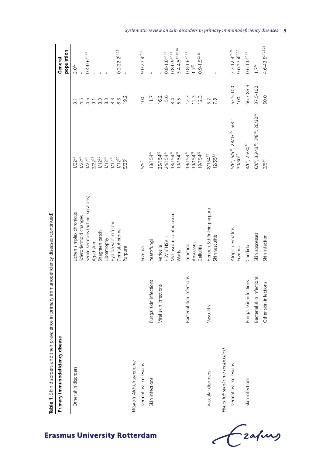| Primary immunodeficiency disease<br>Table 1. Skin disorders and their | prevalence in primary immunodeficiency diseases (continued) |                                                   |                                                                                                                          |                  | General                                               |
|-----------------------------------------------------------------------|-------------------------------------------------------------|---------------------------------------------------|--------------------------------------------------------------------------------------------------------------------------|------------------|-------------------------------------------------------|
|                                                                       |                                                             |                                                   |                                                                                                                          |                  | population                                            |
| Other skin disorders                                                  |                                                             | Lichen simplex chronicus<br>Sclerodermoid changes | $1/22^{28}$<br>$1/32^{29}$                                                                                               |                  | $3.0^{22}$                                            |
|                                                                       |                                                             | Senile keratosis (actinic keratosis)              | $1/22^{28}$                                                                                                              | 4498888          | $0.4 - 0.6$ <sup>21,23</sup>                          |
|                                                                       |                                                             | Aged skin                                         | $\begin{array}{l} 2/2^{28} \\ 1/12^{30} \\ 1/12^{30} \\ 1/12^{30} \\ 1/12^{30} \\ 1/12^{30} \\ 1/12^{30} \\ \end{array}$ |                  |                                                       |
|                                                                       |                                                             | Shagreen patch                                    |                                                                                                                          |                  |                                                       |
|                                                                       |                                                             | Lipoatrophy                                       |                                                                                                                          |                  |                                                       |
|                                                                       |                                                             | Hydroa vacciniforme                               |                                                                                                                          |                  |                                                       |
|                                                                       |                                                             | Dermatofibroma                                    |                                                                                                                          | $\frac{3}{8}$    | $0.2 - 22.2$ <sup>21,23</sup>                         |
|                                                                       |                                                             | Purpura                                           | $5/26$ <sup>7</sup>                                                                                                      | 19.2             |                                                       |
| Wiskott-Aldrich syndrome                                              |                                                             |                                                   |                                                                                                                          |                  |                                                       |
| Dermatitis-like lesions                                               |                                                             | Eczema                                            | 5/5 <sup>7</sup>                                                                                                         | 100              | $9.0 - 27.4$ <sup>21,26</sup>                         |
| Skin infections                                                       | Fungal skin infections                                      | Yeast/fungi                                       | $18/154^{32}$                                                                                                            | 11.7             |                                                       |
|                                                                       | Viral skin infections                                       | Varicella                                         | $25/154^{32}$                                                                                                            |                  |                                                       |
|                                                                       |                                                             | HSV V HSV II                                      | $24/154^{32}$                                                                                                            | $16.2$<br>$15.6$ | $0.8 - 1.0^{22.23}$                                   |
|                                                                       |                                                             | Molluscum contagiosum                             | $13/154^{32}$                                                                                                            | 8.4              | $0.8 - 0.9^{22.23}$                                   |
|                                                                       |                                                             | Warts                                             | $10/154^{32}$                                                                                                            | 6.5              | $3.4 - 4.5^{22.23.26}$                                |
|                                                                       | Bacterial skin infections                                   | Impetigo                                          | $19/154^{32}$                                                                                                            | 12.3             | $0.8 - 1.6$ <sup>22,23</sup>                          |
|                                                                       |                                                             | Abscesses                                         | $19/154^{32}$                                                                                                            | 12.3             | $1.7^{22}$                                            |
|                                                                       |                                                             | Cellulitis                                        | $19/154^{32}$                                                                                                            | 12.3             | $0.9 - 1.5^{22.23}$                                   |
| Vascular disorders                                                    | Vasculitis                                                  | Henoch-Schönlein purpura                          | $8/154^{32}$                                                                                                             | 5.2              |                                                       |
|                                                                       |                                                             | Skin vasculitis                                   | 12/55 <sup>33</sup>                                                                                                      | $7.\overline{8}$ |                                                       |
| Hyper lgE syndrome unspecified                                        |                                                             |                                                   |                                                                                                                          |                  |                                                       |
| Dermatitis-like lesions                                               |                                                             | Atopic dermatitis<br>Eczema                       | 5/6°, 5/5 <sup>34</sup> , 28/43 <sup>35</sup> , 5/8 <sup>36</sup><br>$30/30^{37}$                                        | 62.5-100<br>100  | $2.2 - 12.4^{21-24}$<br>$9.0 - 27.4$ <sup>21,26</sup> |
| Skin infections                                                       | Fungal skin infections                                      | Candida                                           | 4/6°, 25/30 <sup>37</sup>                                                                                                | 66.7-83.3        | $0.6 - 1.0^{22.23}$                                   |
|                                                                       | Bacterial skin infections                                   | Skin abscesses                                    | $6/6^6$ , 36/43 <sup>35</sup> , 3/8 <sup>36</sup> , 26/30 <sup>37</sup>                                                  | $37.5 - 100$     | $1.7^{22}$                                            |
|                                                                       | Other skin infections                                       | Skin infection                                    | $3/5^{34}$                                                                                                               | 60.0             | $4.6 - 43.5^{21,25,26}$                               |
|                                                                       |                                                             |                                                   |                                                                                                                          |                  |                                                       |

Czapus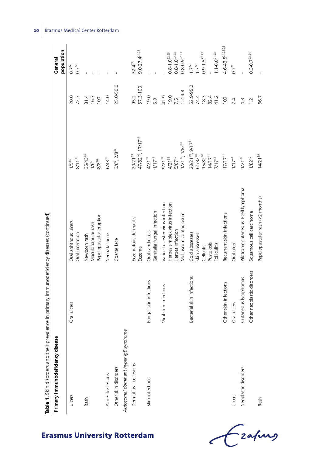| Table 1. Skin disorders and their prevalence in primary immunodeficiency diseases (continued)<br>Primary immunodeficiency disease |                            |                                                                                                                 |                                                                                                  |                                           | population<br>General                                                      |
|-----------------------------------------------------------------------------------------------------------------------------------|----------------------------|-----------------------------------------------------------------------------------------------------------------|--------------------------------------------------------------------------------------------------|-------------------------------------------|----------------------------------------------------------------------------|
| Ulcers                                                                                                                            | Oral ulcers                | Oral aphthous ulcers<br>Oral ulceration                                                                         | $8/11^{38}$<br>$1/5^{34}$                                                                        | 20.0<br>72.7                              | $0.7^{22}$<br>$0.7^{22}$                                                   |
| Rash                                                                                                                              |                            | Papulopustular eruption<br>Maculopapular rash<br>Newborn rash                                                   | $35/43^{35}$<br>8/836<br>$1/6^6$                                                                 | 81.4<br>16.7<br>100                       |                                                                            |
| Acne-like lesions                                                                                                                 |                            | Neonatal acne                                                                                                   | 6/43 <sup>35</sup>                                                                               | 14.0                                      |                                                                            |
| Other skin disorders                                                                                                              |                            | Coarse face                                                                                                     | 3/6°, 2/8 <sup>36</sup>                                                                          | 25.0-50.0                                 |                                                                            |
| Autosomal dominant hyper IgE syndrome                                                                                             |                            |                                                                                                                 |                                                                                                  |                                           |                                                                            |
| Dermatitis-like lesions                                                                                                           |                            | Eczematous dermatitis<br>Eczema                                                                                 | $47/82^{40}$ , $17/17^{41}$<br>$20/21^{39}$                                                      | 57.3-100<br>95.2                          | $9.0 - 27.4$ <sup>21,26</sup><br>$32.4^{24}$                               |
| Skin infections                                                                                                                   | Fungal skin infections     | Genitalia fungal infection<br>Oral candidiasis                                                                  | 4/21 <sup>39</sup><br>$1/17^{41}$                                                                | 19.0<br>5.9                               |                                                                            |
|                                                                                                                                   | Viral skin infections      | Varicella-zoster virus infection<br>Herpes simplex virus infection<br>Molluscum contagiosum<br>Herpes infection | $1/21^{39}$ , $1/82^{40}$<br>5/67 <sup>40</sup><br>4/21 <sup>39</sup><br>9/21 <sup>39</sup>      | $1.2 - 4.8$<br>0.61<br>42.9<br>7.5        | $0.8 - 1.0^{22.23}$<br>$0.8 - 0.9$ <sup>22,23</sup><br>$0.8 - 1.0^{22.23}$ |
|                                                                                                                                   | Bacterial skin infections  | Cold abscesses<br>Skin abscesses<br>Pustulosis<br><b>Folliculitis</b><br>Cellulitis                             | $20/21^{39}$ , $9/17^{41}$<br>$61/82^{40}$<br>15/82 <sup>40</sup><br>$14/17^{41}$<br>$7/17^{41}$ | 52.9-95.2<br>74.4<br>18.3<br>82.4<br>41.2 | $1.1 - 6.0^{21.23}$<br>$0.9 - 1.5^{22.23}$<br>$1.7^{22}$<br>$1.7^{22}$     |
|                                                                                                                                   | Other skin infections      | Recurrent skin infections                                                                                       | 17/17 <sup>41</sup>                                                                              | 100                                       | $4.6 - 43.5^{21,25,26}$                                                    |
| Ulcers                                                                                                                            | Oral ulcers                | Oral ulcer                                                                                                      | $1/17^{41}$                                                                                      | 2.4                                       | $0.7^{22}$                                                                 |
| Neoplastic disorders                                                                                                              | Cutaneous lymphomas        | Pilotropic cutaneous T-cell lymphoma                                                                            | $1/21^{39}$                                                                                      | 4.8                                       |                                                                            |
|                                                                                                                                   | Other neoplastic disorders | Squamous cell carcinoma                                                                                         | $1/82^{40}$                                                                                      | 1.2                                       | $0.3 - 0.7$ <sup>23,24</sup>                                               |
| Rash                                                                                                                              |                            | Papulopustular rash (<2 months)                                                                                 | $14/21^{39}$                                                                                     | 66.7                                      |                                                                            |

 $\epsilon$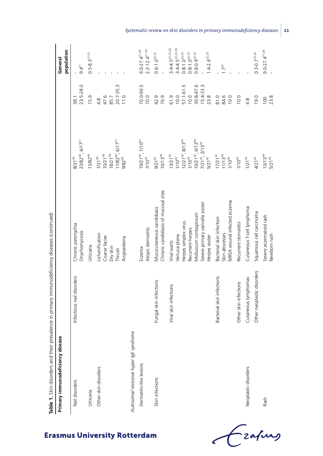| Table 1. Skin disorders and their      | prevalence in primary immunodeficiency diseases (continued) |                                                                                                                                                       |                                                                                                                                                                         |                                                                          |                                                                                                                                                                |
|----------------------------------------|-------------------------------------------------------------|-------------------------------------------------------------------------------------------------------------------------------------------------------|-------------------------------------------------------------------------------------------------------------------------------------------------------------------------|--------------------------------------------------------------------------|----------------------------------------------------------------------------------------------------------------------------------------------------------------|
| Primary immunodeficiency disease       |                                                             |                                                                                                                                                       |                                                                                                                                                                         |                                                                          | population<br>General                                                                                                                                          |
| Nail disorders                         | Infectious nail disorders                                   | Chronic paronychia<br>Onychomycosis                                                                                                                   | 23/8240, 4/1741<br>8/21 <sup>39</sup>                                                                                                                                   | 23.5-28.0<br>38.1                                                        | $9.4^{21}$                                                                                                                                                     |
| Urticaria                              |                                                             | Urticaria                                                                                                                                             | 13/82 <sup>40</sup>                                                                                                                                                     | 15.9                                                                     | $0.5 - 8.3^{21 - 23}$                                                                                                                                          |
| Other skin disorders                   |                                                             | Lichenification<br>Coarse facies<br>Angioedema<br>Dry skin<br>Thrush                                                                                  | $17/82^{40}$ , 6/17 <sup>41</sup><br>9/82 <sup>40</sup><br>$18/21^{39}$<br>$10/21^{39}$<br>$1/21^{39}$                                                                  | 20.7-35.3<br>11.0<br>47.6<br>85.7<br>4.8                                 |                                                                                                                                                                |
| Autosomal recessive hyper lgE syndrome |                                                             |                                                                                                                                                       |                                                                                                                                                                         |                                                                          |                                                                                                                                                                |
| Dermatitis-like lesions                |                                                             | Atopic dermatitis<br>Eczema                                                                                                                           | $19/21^{42}$ , 7/10 <sup>43</sup><br>7/10 <sup>43</sup>                                                                                                                 | 70.0-90.5<br>70.0                                                        | $2.2 - 12.4$ <sup>21-24</sup><br>$9.0 - 27.4$ <sup>21,26</sup>                                                                                                 |
| Skin infections                        | Fungal skin infections                                      | Chronic candidiasis of mucosal sites<br>Mucocutaneous candidiasis                                                                                     | $10/13^{44}$<br>$9/21^{42}$                                                                                                                                             | 42.9<br>76.9                                                             | $0.6 - 1.0^{22.23}$                                                                                                                                            |
|                                        | Viral skin infections                                       | Severe primary varicella zoster<br>Molluscum contagiosum<br>Herpes simplex virus<br>Recurrent herpes<br>Verruca plana<br>Herpes zoster<br>Viral warts | $12/21^{42}$ , 8/13 <sup>44</sup><br>1/10 <sup>43</sup><br>$10/21^{42}$ , $4/13^{44}$<br>$7/21^{42}$ , $2/13^{44}$<br>5/21 <sup>42</sup><br>$13/21^{42}$<br>$1/10^{43}$ | ŗ.<br>30.8-47.6<br>$15.4 - 33.3$<br>$57.1 - 61.$<br>23.8<br>61.9<br>10.0 | $3.4 - 4.5^{22.23.26}$<br>$3.4 - 4.5^{22.23.26}$<br>$0.8 - 1.0^{22.23}$<br>$0.8 - 1.0^{22.23}$<br>$0.8 - 0.9$ <sup>22,23</sup><br>$1.4 - 2.4$ <sup>22,23</sup> |
|                                        | Bacterial skin infections                                   | MRSA wound infected eczema<br>Bacterial skin infection<br>Skin abscesses                                                                              | $11/13^{44}$<br>$17/21^{42}$<br>$1/10^{43}$                                                                                                                             | 84.6<br>81.0<br>10.0                                                     | $1.7^{22}$                                                                                                                                                     |
|                                        | Other skin infections                                       | Recurrent stomatitis                                                                                                                                  | $1/10^{43}$                                                                                                                                                             | 10.0                                                                     |                                                                                                                                                                |
| Neoplastic disorders                   | Cutaneous lymphomas                                         | Cutaneous T-cell lymphoma                                                                                                                             | $1/21^{42}$                                                                                                                                                             | 4.8                                                                      |                                                                                                                                                                |
|                                        | Other neoplastic disorders                                  | Squamous cell carcinoma                                                                                                                               | $4/21^{42}$                                                                                                                                                             | 19.0                                                                     | $0.3 - 0.7$ <sup>23,24</sup>                                                                                                                                   |
| Rash                                   |                                                             | Severe eczematoid rash<br>Newborn rash                                                                                                                | $13/13^{44}$<br>$5/21^{42}$                                                                                                                                             | 23.8<br>100                                                              | $9.0 - 27.4$ <sup>21,26</sup>                                                                                                                                  |

*Systematic review on skin disorders in primary immunodeficiency diseases* **11**

Czafurg

 $\epsilon$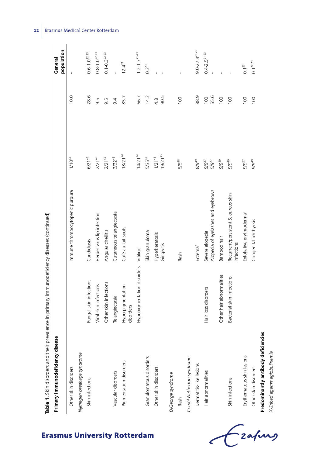| Table 1. Skin disorders and their prevalence in primary immunodeficiency diseases (continued) |                                |                                                       |                             |                          |                               |
|-----------------------------------------------------------------------------------------------|--------------------------------|-------------------------------------------------------|-----------------------------|--------------------------|-------------------------------|
| Primary immunodeficiency disease                                                              |                                |                                                       |                             |                          | population<br>General         |
| Other skin disorders                                                                          |                                | Immune thrombocytopenic purpura                       | $1/10^{43}$                 | 10.0                     |                               |
| Nijmegen breakage syndrome                                                                    |                                |                                                       |                             |                          |                               |
| Skin infections                                                                               | Fungal skin infections         | Candidiasis                                           | $6/21^{45}$                 | 28.6                     | $0.6 - 1.0^{22.23}$           |
|                                                                                               | Viral skin infections          | Herpes virus lip infection                            | $2/21^{45}$                 | 9.5                      | $0.8 - 1.0^{22.23}$           |
|                                                                                               | Other skin infections          | Angular cheilitis                                     | $2/21^{45}$                 | 9.5                      | $0.1 - 0.3$ <sup>22,23</sup>  |
| Vascular disorders                                                                            | Telangiectasia                 | Cutaneous telangiectasia                              | $3/32^{46}$                 | 9.4                      |                               |
| Pigmentation disorders                                                                        | Hyperpigmentation<br>disorders | Café au lait spots                                    | $18/21^{46}$                | 85.7                     | $12.4^{21}$                   |
|                                                                                               | Hypopigmentation disorders     | Vitiligo                                              | $14/21^{46}$                | 66.7                     | $1.2 - 1.7^{21-23}$           |
| Granulomatous disorders                                                                       |                                | Skin granuloma                                        | $5/35^{47}$                 | 14.3                     | $0.3^{23}$                    |
| Other skin disorders                                                                          |                                | Hyperkeratosis<br>Gingivitis                          | $19/21^{45}$<br>$1/21^{45}$ | 90.5<br>$4.\overline{8}$ |                               |
| DiGeorge syndrome                                                                             |                                |                                                       |                             |                          |                               |
| Rash                                                                                          |                                | Rash                                                  | 5/5 <sup>48</sup>           | 100                      |                               |
| Comèl-Netherton syndrome                                                                      |                                |                                                       |                             |                          |                               |
| Dermatitis-like lesions                                                                       |                                | Eczema <sup>b</sup>                                   | 8/9 <sup>49</sup>           | 88.9                     | $9.0 - 27.4$ <sup>21,26</sup> |
| Hair abnormalities                                                                            | Hair loss disorders            | Alopecia of eyelashes and eyebrows<br>Severe alopecia | $9/9^{27}$<br>$5/9^{27}$    | 55.6<br>100              | $0.4 - 2.5^{21 - 23}$         |
|                                                                                               | Other hair abnormalities       | Bamboo hair                                           | 9/949                       | 100                      |                               |
| Skin infections                                                                               | Bacterial skin infections      | Recurrent/persistent S. aureus skin<br>infections     | 9/9 <sup>49</sup>           | 100                      |                               |
| Erythematous skin lesions                                                                     |                                | Exfoliative erythroderma <sup>c</sup>                 | $9/9^{27}$                  | 100                      | $0.1^{23}$                    |
| Other skin disorders                                                                          |                                | Congenital ichthyosis                                 | 9/9 <sup>49</sup>           | 100                      | $0.1^{22.23}$                 |
| Predominantly antibody deficiencies                                                           |                                |                                                       |                             |                          |                               |
| X-linked agammaglobulinemia                                                                   |                                |                                                       |                             |                          |                               |

zafung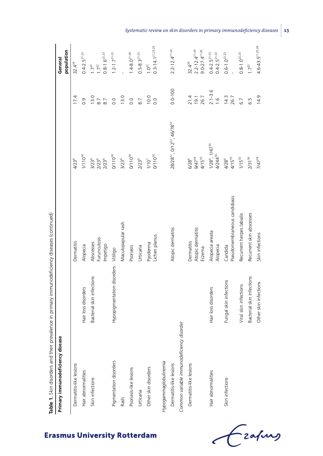| Table 1. Skin disorders and their         | prevalence in primary immunodeficiency diseases (continued) |                                           |                                                                |                              |                                                                               |
|-------------------------------------------|-------------------------------------------------------------|-------------------------------------------|----------------------------------------------------------------|------------------------------|-------------------------------------------------------------------------------|
| Primary immunodeficiency disease          |                                                             |                                           |                                                                |                              | population<br>General                                                         |
| Dermatitis-like lesions                   |                                                             | Dermatitis                                | 4/23 <sup>6</sup>                                              | 17.4                         | $32.4^{24}$                                                                   |
| Hair abnormalities                        | Hair loss disorders                                         | Alopecia                                  | $1/110^{50}$                                                   | $\overline{0}$ .             | $0.4 - 2.5^{21 - 23}$                                                         |
| Skin infections                           | Bacterial skin infections                                   | Abscesses                                 | $3/23^6$                                                       | 13.0                         | $1.7^{22}$                                                                    |
|                                           |                                                             | Furunculosis<br>Impetigo                  | $2/23^{6}$<br>$2/23^{6}$                                       | $8.7\,$<br>$\overline{8}$ .7 | $0.8 - 1.6$ <sup>22,23</sup><br>$1.7^{22}$                                    |
| Pigmentation disorders                    | Hypopigmentation disorders                                  | Vitiligo                                  | 0/110 <sup>50</sup>                                            | 0.0                          | $1.2 - 1.7$ <sup>21-23</sup>                                                  |
| Rash                                      |                                                             | Maculopapular rash                        | $3/23^6$                                                       | 13.0                         |                                                                               |
| Psoriasis-like lesions                    |                                                             | Psoriasis                                 | 0/110 <sup>50</sup>                                            | 0.0                          | $1.4 - 8.0^{21 - 26}$                                                         |
| Urticaria                                 |                                                             | Urticaria                                 | $2/23^6$                                                       | $\overline{8}$ .7            | $0.5 - 8.3^{21 - 23}$                                                         |
| Other skin disorders                      |                                                             | Lichen planus<br>Pyoderma                 | $O/110^{50}$<br>$1/10^7$                                       | 10.0<br>$\overline{0}$ .     | $0.3 - 14.1^{21.23.25}$<br>$1.0^{22}$                                         |
| Hypogammaglobulinemia                     |                                                             |                                           |                                                                |                              |                                                                               |
| Dermatitis-like lesions                   |                                                             | Atopic dermatitis                         | 28/28 <sup>51</sup> , 0/12 <sup>52</sup> , 46/78 <sup>53</sup> | $0.0 - 100$                  | $2.2 - 12.4$ <sup>21-24</sup>                                                 |
| Common variable immunodeficiency disorder |                                                             |                                           |                                                                |                              |                                                                               |
| Dermatitis-like lesions                   |                                                             | Atopic dermatitis<br>Dermatitis<br>Eczema | $4/15^{55}$<br><b>PSLV6</b><br>6/28 <sup>6</sup>               | 21.4<br>19.1<br>26.7         | $2.2 - 12.4$ <sup>21-24</sup><br>$9.0 - 27.4$ <sup>21,26</sup><br>$32.4^{24}$ |
| Hair abnormalities                        | Hair loss disorders                                         | Alopecia areata<br>Alopecia               | 1/28°, 1/47 <sup>54</sup><br>4/244 <sup>50</sup>               | $2.1 - 3.6$<br>1.6           | $0.4-2.5^{21-23}$<br>$0.4-2.5^{21-23}$                                        |
| Skin infections                           | Fungal skin infections                                      | Pseudomembraneous candidiasis<br>Candida  | $4/15^{55}$<br>4/28 <sup>6</sup>                               | 14.3<br>26.7                 | $0.6 - 1.0^{22.23}$                                                           |
|                                           | Viral skin infections                                       | Recurrent herpes labialis                 | $1/15^{55}$                                                    | 6.7                          | $0.8 - 1.0^{22.23}$                                                           |
|                                           | Bacterial skin infections                                   | Recurrent skin abscesses                  | 2/31 <sup>56</sup>                                             | 6.5                          | $1.7^{22}$                                                                    |
|                                           | Other skin infections                                       | Skin infections                           | 7/47 <sup>54</sup>                                             | 14.9                         | $4.6 - 43.5^{21,25,26}$                                                       |

*Systematic review on skin disorders in primary immunodeficiency diseases* **13**

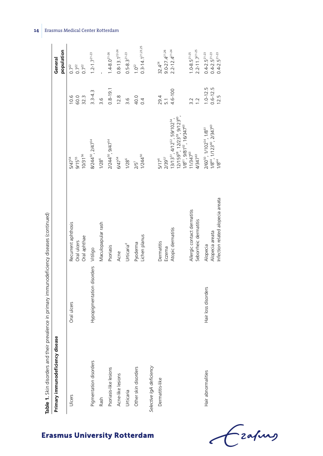| Table 1. Skin disorders and their prevalence in primary immunodeficiency diseases (continued) |                            |                                                                  |                                                                                                                                                                |                                      |                                                                         |
|-----------------------------------------------------------------------------------------------|----------------------------|------------------------------------------------------------------|----------------------------------------------------------------------------------------------------------------------------------------------------------------|--------------------------------------|-------------------------------------------------------------------------|
| Primary immunodeficiency disease                                                              |                            |                                                                  |                                                                                                                                                                |                                      | population<br>General                                                   |
| Ulcers                                                                                        | Oral ulcers                | Recurrent aphthosis<br>Oral aphthae<br>Oral ulcers               | 10/31 <sup>56</sup><br>9/1555<br>5/47 <sup>54</sup>                                                                                                            | 60.0<br>32.3<br>10.6                 | $0.7^{22}$<br>$0.7^{22}$<br>$0.7^{22}$                                  |
| Pigmentation disorders<br>Rash                                                                | Hypopigmentation disorders | Maculopapular rash<br>Vitiligo                                   | 8/244 <sup>50</sup> , 2/47 <sup>54</sup><br>$1/28^6$                                                                                                           | $3.3 - 4.3$<br>$\frac{6}{3}$         | $1.2 - 1.7^{21-23}$                                                     |
| Psoriasis-like lesions                                                                        |                            | Psoriasis                                                        | 2/244 <sup>50</sup> , 9/47 <sup>54</sup>                                                                                                                       | $0.8 - 19.1$                         | $1.4 - 8.0^{21 - 26}$                                                   |
| Acne-like lesions                                                                             |                            | Acne                                                             | 6/47 <sup>54</sup>                                                                                                                                             | 12.8                                 | $0.8 - 13.1^{22 - 24}$                                                  |
| Urticaria                                                                                     |                            | Urticaria <sup>d</sup>                                           | $1/28^6$                                                                                                                                                       | 3.6                                  | $0.5 - 8.3^{21 - 23}$                                                   |
| Other skin disorders                                                                          |                            | Lichen planus<br>Pyoderma                                        | 1/244 <sup>50</sup><br>$2/5$ <sup>7</sup>                                                                                                                      | 40.0<br>$\overline{0}$ .             | $0.3 - 14.1^{21.23.25}$<br>$1.0^{22}$                                   |
| Selective IgA deficiency                                                                      |                            |                                                                  |                                                                                                                                                                |                                      |                                                                         |
| Dermatitis-like                                                                               |                            | Dermatitis                                                       | $5/17^6$                                                                                                                                                       | 29.4                                 | $32.4^{24}$                                                             |
|                                                                                               |                            | Eczema                                                           | 2/3957                                                                                                                                                         | $\overline{5}$ .                     | $9.0 - 27.4$ <sup>21,26</sup>                                           |
|                                                                                               |                            | Atopic dermatitis                                                | $12/159^{58}$ , $12/23^{59}$ , $9/123^{60}$ ,<br>$13/13^{51}$ , $4/12^{52}$ , 59/102 <sup>54</sup> ,<br>$1/8^{61}$ , 9/81 <sup>62</sup> , 16/347 <sup>63</sup> | 4.6-100                              | $2.2 - 12.4$ <sup>21-24</sup>                                           |
|                                                                                               |                            | Allergic contact dermatitis<br>Seborrheic dermatitis             | 11/34763<br>4/34763                                                                                                                                            | $\overline{1}$<br>3.2                | $2.2 - 11.7$ <sup>21-25</sup><br>$1.0 - 8.5^{21 - 25}$                  |
| Hair abnormalities                                                                            | Hair loss disorders        | Infection related alopecia areata<br>Alopecia areata<br>Alopecia | 2/60 <sup>50</sup> , 1/102 <sup>54</sup> , 1/8 <sup>61</sup><br>1/8 <sup>64</sup> , 1/123 <sup>60</sup> , 2/347 <sup>63</sup><br>$1/8^{64}$                    | $1.0 - 12.5$<br>$0.6 - 12.5$<br>12.5 | $0.4 - 2.5^{21 - 23}$<br>$0.4 - 2.5^{21 - 23}$<br>$0.4 - 2.5^{21 - 23}$ |

**Erasmus University Rotterdam** 

Czafing  $\epsilon$ 

# **14** Erasmus Medical Center Rotterdam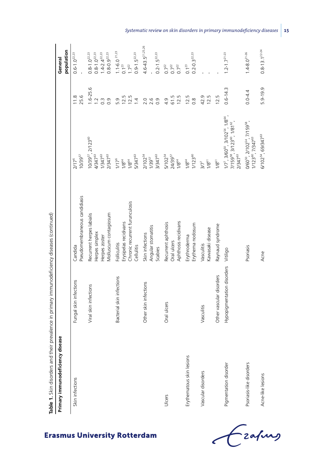| Primary immunodeficiency disease |                            |                                                                                              |                                                                                                                                                                                              |                                                             | population<br>General                                                                           |
|----------------------------------|----------------------------|----------------------------------------------------------------------------------------------|----------------------------------------------------------------------------------------------------------------------------------------------------------------------------------------------|-------------------------------------------------------------|-------------------------------------------------------------------------------------------------|
| Skin infections                  | Fungal skin infections     | Pseudomembraneous candidiasis<br>Candida                                                     | 10/39 <sup>57</sup><br>$2/17^6$                                                                                                                                                              | 25.6<br>11.8                                                | $0.6 - 1.0^{22.23}$                                                                             |
|                                  | Viral skin infections      | Molluscum contagiosum<br>Recurrent herpes labialis<br>Herpes simplex<br>Herpes zoster        | 10/3957, 2/12360<br>4/34763<br>$1/347^{63}$<br>2/34763                                                                                                                                       | $1.6 - 25.6$<br>$\overline{a}$<br>$\overline{0}$ .<br>$0.3$ | $1.4-2.4^{22.23}$<br>$0.8 - 0.9$ <sup>22,23</sup><br>$0.8 - 1.0^{22.23}$<br>$0.8 - 1.0^{22.23}$ |
|                                  | Bacterial skin infections  | Chronic recurrent furunculosis<br>Erysipelas recidivans<br><b>Folliculitis</b><br>Cellulitis | 5/347 <sup>63</sup><br>$1/17^6$<br>$1/8^{64}$<br>$1/8^{64}$                                                                                                                                  | 12.5<br>12.5<br>5.9<br>$\overline{4}$                       | $1.1 - 6.021.23$<br>$0.9 - 1.5^{22.23}$<br>$1.7^{22}$<br>$0.1^{23}$                             |
|                                  | Other skin infections      | Angular stomatitis<br>Skin infections<br>Scabies                                             | 2/10254<br>3/34763<br>$1/39^{57}$                                                                                                                                                            | $0.69$<br>$0.70$                                            | $4.6 - 43.5^{21,25,26}$<br>$0.2 - 1.5^{22.23}$                                                  |
| Ulcers                           | Oral ulcers                | Aphthosis recidivans<br>Recurrent aphthosis<br>Oral ulcers                                   | 5/102 <sup>54</sup><br>24/39 <sup>57</sup><br>$1/8^{64}$                                                                                                                                     | 12.5<br>61.5<br>4.9                                         | $0.7^{22}$<br>$0.7^{22}$<br>$0.7^{22}$                                                          |
| Erythematous skin lesions        |                            | Erythema nodosum<br>Erythroderma                                                             | $1/123^{60}$<br>$1/8^{64}$                                                                                                                                                                   | 12.5<br>$0.\overline{8}$                                    | $0.2 - 0.3$ <sup>22,23</sup><br>$0.1^{23}$                                                      |
| Vascular disorders               | Vasculitis                 | Kawasaki disease<br>Vasculitis                                                               | $1/8^{61}$<br>$37^7$                                                                                                                                                                         | 42.9<br>12.5                                                |                                                                                                 |
|                                  | Other vascular disorders   | Raynaud syndrome                                                                             | $1/8^{61}$                                                                                                                                                                                   | 12.5                                                        |                                                                                                 |
| Pigmentation disorder            | Hypopigmentation disorders | Vitiligo                                                                                     | $1/7^7$ , 3/60 <sup>50</sup> , 3/102 <sup>54</sup> , 1/8 <sup>64</sup> ,<br>iv≥ , است ، است , الا<br>1/159 <sup>58</sup> , 3/123 <sup>60</sup> , 1/81 <sup>62</sup> ,<br>2/347 <sup>63</sup> | $0.6 - 14.3$                                                | $1.2 - 1.7^{21-23}$                                                                             |
| Psoriasis-like disorders         |                            | Psoriasis                                                                                    | 0/60 <sup>50</sup> , 2/102 <sup>54</sup> , 7/159 <sup>58</sup> ,<br>1/12360, 7/34763                                                                                                         | $0.0 - 4.4$                                                 | $1.4 - 8.0^{21 - 26}$                                                                           |
| Acne-like lesions                |                            | Acne                                                                                         | 6/102 <sup>54</sup> , 69/347 <sup>63</sup>                                                                                                                                                   | 5.9-19.9                                                    | $0.8 - 13.1^{22 - 24}$                                                                          |

Frahing

 $\epsilon$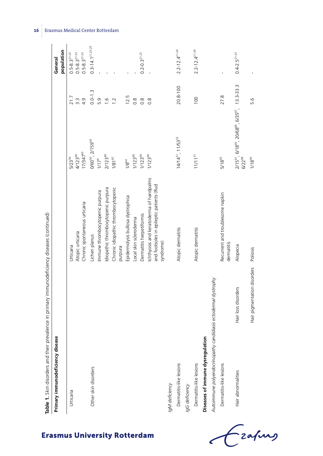|                                                                | Table 1. Skin disorders and their prevalence in primary immunodeficiency diseases (continued) |                                                                                                  |                                                                                                                      |                         |                                                |
|----------------------------------------------------------------|-----------------------------------------------------------------------------------------------|--------------------------------------------------------------------------------------------------|----------------------------------------------------------------------------------------------------------------------|-------------------------|------------------------------------------------|
| Primary immunodeficiency disease                               |                                                                                               |                                                                                                  |                                                                                                                      |                         | population<br>General                          |
| Urticaria                                                      |                                                                                               | Urticaria                                                                                        | 5/2359                                                                                                               | 21.7                    | $0.5 - 8.3^{21 - 23}$                          |
|                                                                |                                                                                               | Chronic spontaneous urticaria<br>Atopic urticaria                                                | 17/34763<br>4/12360                                                                                                  | 4.9<br>$3.\overline{3}$ | $0.5 - 8.3^{21 - 23}$<br>$0.5 - 8.3^{21 - 23}$ |
| Other skin disorders                                           |                                                                                               | Lichen planus                                                                                    | 0/60 <sup>50</sup> , 2/159 <sup>58</sup>                                                                             | $0.0 - 1.3$             | $0.3 - 14.1^{21.23.25}$                        |
|                                                                |                                                                                               | Immune thrombocytopenic purpura                                                                  | $1/17^6$                                                                                                             | 5.9                     |                                                |
|                                                                |                                                                                               | Idiopathic thrombocytopenic purpura                                                              | 2/12360                                                                                                              | $\frac{6}{1}$           |                                                |
|                                                                |                                                                                               | Chronic idiopathic thrombocytopenic<br>purpura                                                   | $1/81^{62}$                                                                                                          | $\overline{1}$          |                                                |
|                                                                |                                                                                               | Epidermolysis bullosa dystrophica                                                                | $1/8^{64}$                                                                                                           | 12.5                    |                                                |
|                                                                |                                                                                               | Local skin scleroderma                                                                           | $1/123^{60}$                                                                                                         | $\frac{8}{2}$           |                                                |
|                                                                |                                                                                               | Dermatitis herpetiformis                                                                         | $1/123^{60}$                                                                                                         | $\frac{8}{2}$           | $0.2 - 0.3$ <sup>21,22</sup>                   |
|                                                                |                                                                                               | Ichthyosis and keratoderma of handpalms<br>and footsoles in epileptic patients (Rud<br>syndrome) | $1/123^{60}$                                                                                                         | $\frac{8}{2}$           |                                                |
| IgM deficiency                                                 |                                                                                               |                                                                                                  |                                                                                                                      |                         |                                                |
| Dermatitis-like lesions                                        |                                                                                               | Atopic dermatitis                                                                                | $14/14^{51}$ , $11/53^{52}$                                                                                          | 20.8-100                | $2.2 - 12.4$ <sup>21-24</sup>                  |
| IgG deficiency                                                 |                                                                                               |                                                                                                  |                                                                                                                      |                         |                                                |
| Dermatitis-like lesions                                        |                                                                                               | Atopic dermatitis                                                                                | $11/11^{51}$                                                                                                         | 100                     | $2.2 - 12.4$ <sup>21-24</sup>                  |
| Diseases of immune dysregulation                               |                                                                                               |                                                                                                  |                                                                                                                      |                         |                                                |
| Autoimmune polyendocrinopathy candidiasis ectodermal dystrophy |                                                                                               |                                                                                                  |                                                                                                                      |                         |                                                |
| Dermatitis-like lesions                                        |                                                                                               | Recurrent and troublesome napkin<br>dermatitis                                                   | 5/18 <sup>65</sup>                                                                                                   | 27.8                    |                                                |
| Hair abnormalities                                             | Hair loss disorders                                                                           | Alopecia                                                                                         | 2/15 <sup>6</sup> ', 6/18 <sup>65</sup> , 20/68 <sup>66</sup> , 6/35 <sup>67</sup> , 13.3-33.3<br>6/22 <sup>68</sup> |                         | $0.4 - 2.5^{21 - 23}$                          |
|                                                                | Hair pigmentation disorders                                                                   | Poliosis                                                                                         | $1/18^{65}$                                                                                                          | 5.6                     |                                                |

Czapus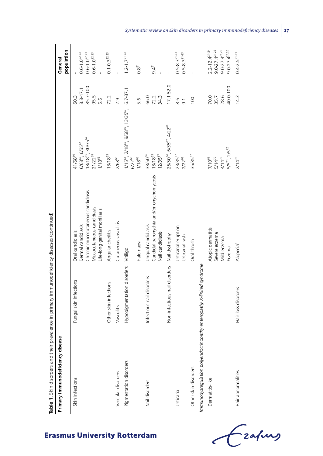| Primary immunodeficiency disease                                     |                               |                                                                                                                                          |                                                                                                                                                   |                                                 | population<br>General                                                                                                   |
|----------------------------------------------------------------------|-------------------------------|------------------------------------------------------------------------------------------------------------------------------------------|---------------------------------------------------------------------------------------------------------------------------------------------------|-------------------------------------------------|-------------------------------------------------------------------------------------------------------------------------|
| Skin infections                                                      | Fungal skin infections        | Chronic mucocutaneous candidiasis<br>Mucocutaneous candidiasis<br>Life-long genital moniliasis<br>Dermal candidiasis<br>Oral candidiasis | 18/18 <sup>65</sup> , 30/35 <sup>67</sup><br>6/68 <sup>66</sup> , 6/35 <sup>67</sup><br>21/22 <sup>68</sup><br>41/68 <sup>66</sup><br>$1/18^{65}$ | 85.7-100<br>$8.8 - 17.1$<br>95.5<br>60.3<br>5.6 | $0.6 - 1.0^{22.23}$<br>$0.6 - 1.0^{22.23}$<br>$0.6 - 1.0^{22.23}$                                                       |
|                                                                      | Other skin infections         | Angular cheilitis                                                                                                                        | $13/18^{65}$                                                                                                                                      | 72.2                                            | $0.1 - 0.3$ <sup>22,23</sup>                                                                                            |
| Vascular disorders                                                   | Vasculitis                    | Cutaneous vasculitis                                                                                                                     | 2/68%                                                                                                                                             | 2.9                                             |                                                                                                                         |
| Pigmentation disorders                                               | Hypopigmentation disorders    | Halo naevi<br>Vitiligo                                                                                                                   | 1/15°', 2/18° <sup>5</sup> , 9/68° <sup>6</sup> , 13/35° <sup>7</sup> , 6.7-37.1<br>6/22 <sup>88</sup><br>$1/18^{65}$                             | 5.6                                             | $1.2 - 1.7$ <sup>21-23</sup><br>$0.8^{21}$                                                                              |
| Nail disorders                                                       | Infectious nail disorders     | Candidal paronychia and/or onychomycosis<br>Ungual candidiasis<br>Nail candidiasis                                                       | $13/18^{65}$<br>33/50 <sup>66</sup><br>12/3567                                                                                                    | 66.0<br>72.3<br>34.3                            | $9.4^{21}$                                                                                                              |
|                                                                      | Non-infectious nail disorders | Nail dystrophy                                                                                                                           | 26/50 <sup>66</sup> , 6/35 <sup>67</sup> , 4/22 <sup>68</sup>                                                                                     | $17.1 - 52.0$                                   |                                                                                                                         |
| Urticaria                                                            |                               | Urticarial eruption<br><b>Jrticarial</b> rash                                                                                            | 23/35 <sup>67</sup><br>2/22 <sup>68</sup>                                                                                                         | 8.6<br>$\overline{9}$ .                         | $0.5 - 8.3^{21 - 23}$<br>$0.5 - 8.3^{21 - 23}$                                                                          |
| Other skin disorders                                                 |                               | Oral thrush                                                                                                                              | 35/35 <sup>67</sup>                                                                                                                               | 100                                             |                                                                                                                         |
| Immunodysregulation polyendocrinopathy enteropathy X-linked syndrome |                               |                                                                                                                                          |                                                                                                                                                   |                                                 |                                                                                                                         |
| Dermatitis-like                                                      |                               | Atopic dermatitis<br>Severe eczema<br>Mild eczema<br>Eczema                                                                              | $5/5^{71}$ , $2/5^{72}$<br>$5/14^{70}$<br>4/14 $^{70}$<br>7/10 <sup>69</sup>                                                                      | 40.0-100<br>28.6<br>70.0<br>35.7                | $2.2 - 12.4$ <sup>21-24</sup><br>$9.0 - 27.4$ <sup>21,26</sup><br>$9.0 - 27.4^{21.26}$<br>$9.0 - 27.4$ <sup>21,26</sup> |
| Hair abnormalities                                                   | Hair loss disorders           | Alopecia <sup>e</sup>                                                                                                                    | $2/14^{70}$                                                                                                                                       | 14.3                                            | $0.4 - 2.5^{21 - 23}$                                                                                                   |

-zafung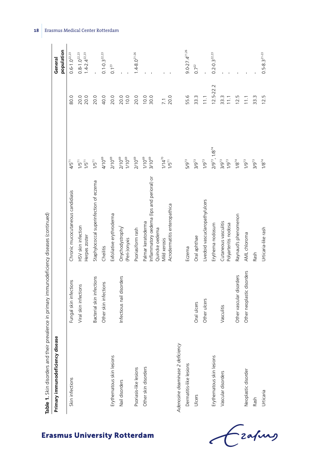| Table 1. Skin disorders and their prevalence in primary immunodeficiency diseases (continued) |                            |                                                                                                                                    |                                                         |                                          |                                                     |
|-----------------------------------------------------------------------------------------------|----------------------------|------------------------------------------------------------------------------------------------------------------------------------|---------------------------------------------------------|------------------------------------------|-----------------------------------------------------|
| Primary immunodeficiency disease                                                              |                            |                                                                                                                                    |                                                         |                                          | population<br>General                               |
| Skin infections                                                                               | Fungal skin infections     | Chronic mucocutaneous candidiasis                                                                                                  | $4/5^{71}$                                              | 80.0                                     | $0.6 - 1.0^{22.23}$                                 |
|                                                                                               | Viral skin infections      | HSV skin infection<br>Herpes zoster                                                                                                | $1/5^{71}$<br>$1/5^{71}$                                | 20.0<br>20.0                             | $1.4 - 2.4$ <sup>22,23</sup><br>$0.8 - 1.0^{22.23}$ |
|                                                                                               | Bacterial skin infections  | Staphylococcal superinfection of eczema                                                                                            | $1/5^{71}$                                              | 20.0                                     |                                                     |
|                                                                                               | Other skin infections      | Cheilitis                                                                                                                          | 4/1069                                                  | 40.0                                     | $0.1 - 0.3$ <sup>22,23</sup>                        |
| Erythematous skin lesions                                                                     |                            | Exfoliative erythroderma                                                                                                           | 2/10 <sup>69</sup>                                      | 20.0                                     | $0.1^{23}$                                          |
| Nail disorders                                                                                | Infectious nail disorders  | Onychodystrophy <sup>1</sup><br>(Peri-)onyxis                                                                                      | $2/10^{69}$<br>$1/10^{69}$                              | 20.0<br>10.0                             |                                                     |
| Psoriasis-like lesions                                                                        |                            | Psoriasiform rash                                                                                                                  | 2/10 <sup>69</sup>                                      | 20.0                                     | $1.4 - 8.0^{21 - 26}$                               |
| Other skin disorders                                                                          |                            | Inflammatory oedema (lips and perioral) or<br>Acrodermatitis enteropathica<br>Palmar keratoderma<br>Quincke oedema<br>Mild xerosis | $1/10^{69}$<br>$3/10^{69}$<br>$1/14^{70}$<br>$1/5^{71}$ | 10.0<br>30.0<br>20.0<br>$\overline{7.1}$ |                                                     |
| Adenosine deaminase 2 deficiency                                                              |                            |                                                                                                                                    |                                                         |                                          |                                                     |
| Dermatitis-like lesions                                                                       |                            | Eczema                                                                                                                             | 5/9 <sup>73</sup>                                       | 55.6                                     | $9.0 - 27.4$ <sup>21,26</sup>                       |
| Ulcers                                                                                        | Oral ulcers                | Oral aphthae                                                                                                                       | $3/9^{73}$                                              | 33.3                                     | $0.7^{22}$                                          |
|                                                                                               | Other ulcers               | Livedoid vascuclaropathy/ulcers                                                                                                    | $1/9^{73}$                                              | 11.1                                     |                                                     |
| Erythematous skin lesions                                                                     |                            | Erythema nodosum                                                                                                                   | $2/9^{73}$ , $1/8^{74}$                                 | $12.5 - 22.2$                            | $0.2 - 0.3$ <sup>22,23</sup>                        |
| Vascular disorders                                                                            | Vasculitis                 | Cutaneous vasculitis<br>Polyarteritis nodosa                                                                                       | $3/9^{73}$<br>$1/9^{73}$                                | 33.3<br>11.1                             |                                                     |
|                                                                                               | Other vascular disorders   | Raynaud's phenomenon                                                                                                               | $1/8^{74}$                                              | 12.5                                     |                                                     |
| Neoplastic disorder                                                                           | Other neoplastic disorders | AML chloroma                                                                                                                       | $1/9^{73}$                                              | 11.1                                     |                                                     |
| Rash                                                                                          |                            | Rash                                                                                                                               | $3/9^{73}$                                              | 33.3                                     |                                                     |
| Urticaria                                                                                     |                            | Urticaria-like rash                                                                                                                | $1/8^{74}$                                              | 12.5                                     | $0.5 - 8.3^{21 - 23}$                               |

18 Erasmus Medical Center Rotterdam

Czapus  $\epsilon$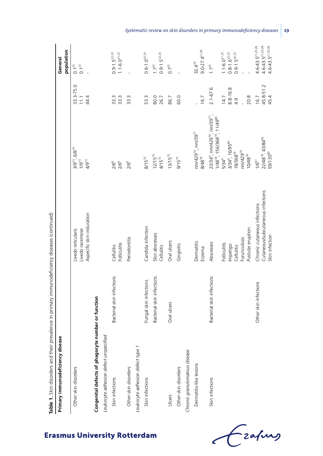| Table 1. Skin disorders and their                  | prevalence in primary immunodeficiency diseases (continued) |                                                                                     |                                                                                                     |                                       |                                                                               |
|----------------------------------------------------|-------------------------------------------------------------|-------------------------------------------------------------------------------------|-----------------------------------------------------------------------------------------------------|---------------------------------------|-------------------------------------------------------------------------------|
| Primary immunodeficiency disease                   |                                                             |                                                                                     |                                                                                                     |                                       | population<br>General                                                         |
| Other skin disorders                               |                                                             | Aspecific skin induration<br>Livedo racemose<br>ivedo reticularis                   | $.6/8^{74}$<br>$1/9^{73}$<br>$3/9^{73}$<br>4/973                                                    | 33.3-75.0<br>44.4<br>$\overline{111}$ | $0.1^{23}$<br>$0.1^{23}$                                                      |
| Congenital defects of phagocyte number or function |                                                             |                                                                                     |                                                                                                     |                                       |                                                                               |
| Leukocyte adhesion defect unspecified              |                                                             |                                                                                     |                                                                                                     |                                       |                                                                               |
| Skin infections                                    | Bacterial skin infections                                   | <b>Folliculitis</b><br>Cellulitis                                                   | $2/6^6$<br>$2/6^6$                                                                                  | 33.3<br>33.3                          | $0.9 - 1.5^{22.23}$<br>$1.1 - 6.0^{21.23}$                                    |
| Other skin disorders                               |                                                             | Periodontitis                                                                       | $2/6^6$                                                                                             | 33.3                                  |                                                                               |
| Leukocyte adhesion defect type 1                   |                                                             |                                                                                     |                                                                                                     |                                       |                                                                               |
| Skin infections                                    | Fungal skin infections                                      | Candida infection                                                                   | $8/15^{75}$                                                                                         | 53.3                                  | $0.6 - 1.0^{22.23}$                                                           |
|                                                    | Bacterial skin infections                                   | Skin abscesses<br>Cellulitis                                                        | $12/15^{75}$<br>$4/15^{75}$                                                                         | 80.0<br>26.7                          | $0.9 - 1.5^{22.23}$<br>$1.7^{22}$                                             |
| Ulcers                                             | Oral ulcers                                                 | Oral ulcers                                                                         | $13/15^{75}$                                                                                        | 86.7                                  | $0.7^{22}$                                                                    |
| Other skin disorders                               |                                                             | Gingivitis                                                                          | $9/15^{75}$                                                                                         | 60.0                                  |                                                                               |
| Chronic granulomatous disease                      |                                                             |                                                                                     |                                                                                                     |                                       |                                                                               |
| Dermatitis-like lesions                            |                                                             | Dermatitis<br>Eczema                                                                | nm/429 <sup>76</sup> , nm/39 <sup>77</sup><br>$8/48^{78}$                                           | 16.7                                  | $9.0 - 27.4$ <sup>21,26</sup><br>$32.4^{24}$                                  |
| Skin infections                                    | Bacterial skin infections                                   | Abscesses                                                                           | 23/34°, nm/429 <sup>76</sup> , nm/39 <sup>77</sup> ,<br>$1/48^{78}$ , $156/368^{79}$ , $11/49^{80}$ | $2.1 - 67.6$                          | $1.7^{22}$                                                                    |
|                                                    |                                                             | Folliculitis                                                                        | 5/34 <sup>6</sup>                                                                                   | 14.7                                  | $1.1 - 6.0^{21.23}$                                                           |
|                                                    |                                                             | Impetigo                                                                            | 3/34 <sup>6</sup> , 16/95 <sup>80</sup>                                                             | 8.8-16.8                              | $0.8 - 1.6$ <sup>22,23</sup>                                                  |
|                                                    |                                                             | Furunculosis<br>Cellulitis                                                          | nm/429 <sup>76</sup><br>$18/368^{79}$                                                               | 4.9                                   | $0.9 - 1.5^{22.23}$                                                           |
|                                                    |                                                             | Pustular eruption                                                                   | $10/48^{78}$                                                                                        | 20.8                                  |                                                                               |
|                                                    | Other skin infections                                       | Cutaneous/subcutaneous infections<br>Chronic cutaneous infections<br>Skin infection | 22/48 <sup>78</sup> , 43/84 <sup>82</sup><br>59/130 <sup>80</sup><br>$1/6^{81}$                     | 45.8-51.2<br>45.4<br>16.7             | $4.6 - 43.5^{21,25,26}$<br>$4.6 - 43.5^{21,25,26}$<br>$4.6 - 43.5^{21,25,26}$ |

*Systematic review on skin disorders in primary immunodeficiency diseases* **19**

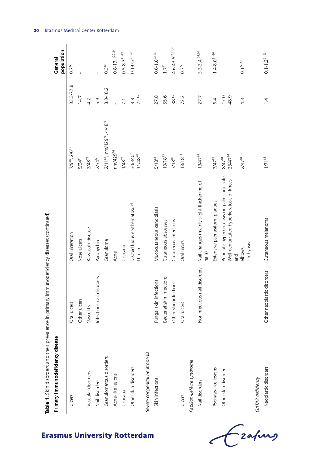| Table 1. Skin disorders and their prevalence in primary immunodeficiency diseases (continued) |                              |                                                                                              |                                                                |                  |                         |
|-----------------------------------------------------------------------------------------------|------------------------------|----------------------------------------------------------------------------------------------|----------------------------------------------------------------|------------------|-------------------------|
| Primary immunodeficiency disease                                                              |                              |                                                                                              |                                                                |                  | population<br>General   |
| Ulcers                                                                                        | Oral ulcers                  | Oral ulceration                                                                              | 7/9 <sup>38</sup> , 2/6 <sup>8</sup>                           | 33.3-77.8        | $0.7^{22}$              |
|                                                                                               | Other ulcers                 | Nose ulcers                                                                                  | 5/34 <sup>6</sup>                                              | 14.7             |                         |
| Vascular disorders                                                                            | Vasculitis                   | Kawasaki disease                                                                             | $2/48^{78}$                                                    | 4.2              |                         |
| Nail disorders                                                                                | Infectious nail disorders    | Paronychia                                                                                   | 2/34 <sup>6</sup>                                              | 5.9              |                         |
| Granulomatous disorders                                                                       |                              | Granuloma                                                                                    | 2/11 <sup>61</sup> , nm/429 <sup>76</sup> , 4/48 <sup>78</sup> | $8.3 - 18.2$     | $0.3^{23}$              |
| Acne-like lesions                                                                             |                              | Acne                                                                                         | $nm/429^{76}$                                                  |                  | $0.8 - 13.1^{22.24}$    |
| Urticaria                                                                                     |                              | Urticaria                                                                                    | $1/48^{78}$                                                    | 2.1              | $0.5 - 8.3^{21 - 23}$   |
| Other skin disorders                                                                          |                              | Discoid lupus erythematosus <sup>9</sup><br>Thrush                                           | 30/340 <sup>79</sup><br>$11/48^{78}$                           | 22.9<br>8.8      | $0.1 - 0.3^{21.22}$     |
| Severe congenital neutropenia                                                                 |                              |                                                                                              |                                                                |                  |                         |
| Skin infections                                                                               | Fungal skin infections       | Mucocutaneous candidiasis                                                                    | $5/18^{83}$                                                    | 27.8             | $0.6 - 1.0^{22.23}$     |
|                                                                                               | Bacterial skin infections    | Cutaneous abscesses                                                                          | $10/18^{83}$                                                   | 55.6             | $1.7^{22}$              |
|                                                                                               | Other skin infections        | Cutaneous infections                                                                         | $7/18^{83}$                                                    | 38.9             | $4.6 - 43.5^{21,25,26}$ |
| Ulcers                                                                                        | Oral ulcers                  | Oral ulcers                                                                                  | $13/18^{83}$                                                   | 72.2             | $0.7^{22}$              |
| Papillon-Lefèvre syndrome                                                                     |                              |                                                                                              |                                                                |                  |                         |
| Nail disorders                                                                                | Noninfectious nail disorders | Nail changes (mainly slight thickening of<br>nails)                                          | $13/47^{84}$                                                   | 27.7             | $3.3 - 3.4.26$          |
| Psoriasis-like lesions                                                                        |                              | Extensive psoriasiform plaques                                                               | 3/47 <sup>84</sup>                                             | 6.4              | $1.4 - 8.0^{21 - 26}$   |
| Other skin disorders                                                                          |                              | Punctate hyperkeratosis on palms and soles<br>Well-demarcated hyperkeratosis of knees<br>and | 23/47 <sup>84</sup><br>8/47 <sup>84</sup>                      | 17.0<br>48.9     |                         |
|                                                                                               |                              | Ichthyosis<br>elbows                                                                         | $2/47$ <sup>84</sup>                                           | $4.\overline{3}$ | $0.1^{22.23}$           |
| GATA2 deficiency                                                                              |                              |                                                                                              |                                                                |                  |                         |
| Neoplastic disorders                                                                          | Other neoplastic disorders   | Cutaneous melanoma                                                                           | $1/71^{85}$                                                    | $1\overline{4}$  | $0.1 - 1.2^{21.23}$     |

Crafing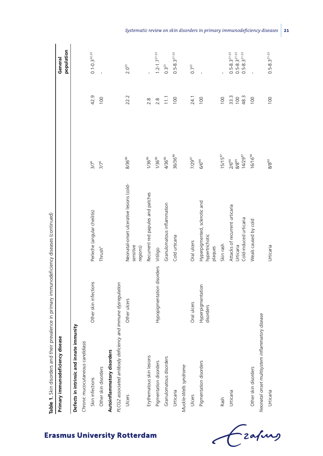| Primary immunodeficiency disease                              |                                |                                                                       |                                                        |                     | population<br>General                                                   |
|---------------------------------------------------------------|--------------------------------|-----------------------------------------------------------------------|--------------------------------------------------------|---------------------|-------------------------------------------------------------------------|
| Defects in intrinsic and innate immunity                      |                                |                                                                       |                                                        |                     |                                                                         |
| Chronic mucocutaneous candidiasis                             |                                |                                                                       |                                                        |                     |                                                                         |
| Skin infections                                               | Other skin infections          | Perleche (angular cheilitis)                                          | $3/7^6$                                                | 42.9                | $0.1 - 0.3^{22.23}$                                                     |
| Other skin disorders                                          |                                | Thrush <sup>h</sup>                                                   | $77^6$                                                 | 100                 |                                                                         |
| Autoinflammatory disorders                                    |                                |                                                                       |                                                        |                     |                                                                         |
| PLCG2 associated antibody deficiency and immune dysregulation |                                |                                                                       |                                                        |                     |                                                                         |
| Ulcers                                                        | Other ulcers                   | Neonatal-onset ulcerative lesions (cold-<br>sensitive<br>regions)     | 8/36 <sup>86</sup>                                     | 22.2                | $2.0^{23}$                                                              |
| Erythematous skin lesions                                     |                                | Recurrent red papules and patches                                     | 1/36%                                                  | 2.8                 |                                                                         |
| Pigmentation disorders                                        | Hypopigmentation disorders     | Vitiligo                                                              | $1/36$ %                                               | 2.8                 | $1.2 - 1.7^{21-23}$                                                     |
| Granulomatous disorders                                       |                                | Granulomatous inflammation                                            | 4/36%                                                  | $\frac{1}{11}$      | $0.3^{23}$                                                              |
| Urticaria                                                     |                                | Cold urticaria                                                        | 36/36 <sup>86</sup>                                    | 100                 | $0.5 - 8.3^{21 - 23}$                                                   |
| Muckle-Wells syndrome                                         |                                |                                                                       |                                                        |                     |                                                                         |
| Ulcers                                                        | Oral ulcers                    | Oral ulcers                                                           | 7/2987                                                 | 24.1                | $0.7^{22}$                                                              |
| Pigmentation disorders                                        | Hyperpigmentation<br>disorders | Hyperpigmented, sclerotic and<br>hypertrichotic<br>plaques            | 6/6 <sup>88</sup>                                      | 100                 |                                                                         |
| Rash                                                          |                                | Skin rash                                                             | $15/15^{87}$                                           | 100                 |                                                                         |
| Urticaria                                                     |                                | Attacks of recurrent urticaria<br>Cold-induced urticaria<br>Urticaria | $14/29^{87}$<br>2/6 <sup>88</sup><br>$8/8^\mathrm{89}$ | 33.3<br>48.3<br>100 | $0.5 - 8.3^{21 - 23}$<br>$0.5 - 8.3^{21 - 23}$<br>$0.5 - 8.3^{21 - 23}$ |
| Other skin disorders                                          |                                | Weals caused by cold                                                  | 16/16%                                                 | 100                 |                                                                         |
| Neonatal onset multisystem inflammatory disease               |                                |                                                                       |                                                        |                     |                                                                         |
| Urticaria                                                     |                                | Urticaria                                                             | 8/8 <sup>89</sup>                                      | 100                 | $0.5 - 8.3^{21 - 23}$                                                   |
|                                                               |                                |                                                                       |                                                        |                     |                                                                         |

# **Erasmus University Rotterdam**

Grafing

*Systematic review on skin disorders in primary immunodeficiency diseases* **21**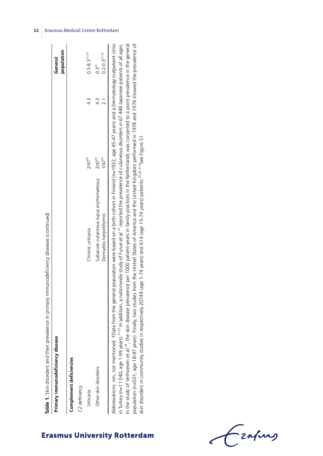| Primary immunodeficiency disease |                                        |                      |                  | General               |
|----------------------------------|----------------------------------------|----------------------|------------------|-----------------------|
|                                  |                                        |                      |                  | population            |
| Complement deficiencies          |                                        |                      |                  |                       |
| C2 deficiency                    |                                        |                      |                  |                       |
| Irticaria                        | Chronic urticaria                      | $2/47^{91}$          | 4.3              | $0.5 - 8.3^{21 - 23}$ |
| Other skin disorders             | Subacute cutaneous lupus erythematosus | $2/47$ <sup>91</sup> | $\frac{3}{4}$    | $0.3^{22}$            |
|                                  | Dermatitis herpetiformis               | $1/47^{91}$          | $\overline{2.1}$ | $0.2 - 0.321,22$      |

**Erasmus University Rotterdam** 

in Turkey (n=11 040, age 1-99 years).21,22 In addition, a nationwide study of Furue *et al*.23 reported the prevalence of cutaneous disorders in 67 448 Japanese patients of all ages. In the study of Verhoeven et al.<sup>24</sup>, the skin disease prevalence per 1000 patient-years in family practices in the Netherlands was converted to a point prevalence in the general In the study of Verhoeven *et al*.24, the skin disease prevalence per 1000 patient-years in family practices in the Netherlands was converted to a point prevalence in the general population (n=501, age 18-97 years). Finally, two studies from the United States of America and the United Kingdom performed in 1978 and 1976 showed the prevalence of population (n=501, age 18-97 years). Finally, two studies from the United States of America and the United Kingdom performed in 1978 and 1976 showed the prevalence of in Turkey (n=11 040, age 1-99 years).<sup>21,22</sup> In addition, a nationwide study of Furue et al<sup>, 23</sup> reported the prevalence of cutaneous disorders in 67 448 Japanese patients of all ages. skin disorders in community studies in respectively 20749 (age 1-74 years) and 614 (age 15-74 years) patients.<sup>25,26</sup> <sup>A+1</sup>See Figure S1. skin disorders in community studies in respectively 20749 (age 1-74 years) and 614 (age 15-74 years) patients.25,26 A-HSee Figure S1.

Frahing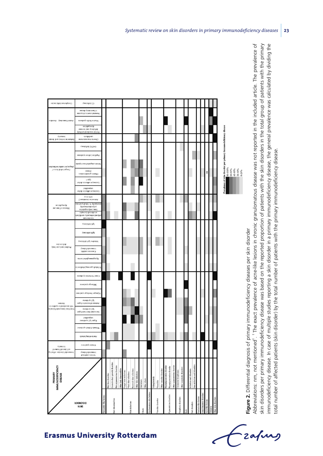

Figure 2. Differential diagnosis of primary immunodeficiency diseases per skin disorder **Figure 2.** Differential diagnosis of primary immunodeficiency diseases per skin disorder

Abbreviations: nm, not mentioned†. † The exact prevalence of acne-like lesions in chronic granulomatous disease was not reported in the included article. The prevalence of skin disorders per primary immunodeficiency disease was based on the reported proportion of patients with the skin disorders in the total group of patients with the primary skin disorders per primary immunodeficiency disease was based on the reported proportion of patients with the skin disorders in the total group of patients with the primary immunodeficiency disease. In case of multiple studies reporting a skin disorder in a primary immunodeficiency disease, the general prevalence was calculated by dividing the Abbreviations: nm, not mentioned". <sup>†</sup> The exact prevalence of acne-like lesions in chronic granulomatous disease was not reported in the included article. The prevalence of mmunodeficiency disease. In case of multiple studies reporting a skin disorder in a primary immunodeficiency disease, the general prevalence was calculated by dividing the total number of affected patients (skin disorder) by the total number of patients with the primary immunodeficiency disease. total number of affected patients (skin disorder) by the total number of patients with the primary immunodeficiency disease.

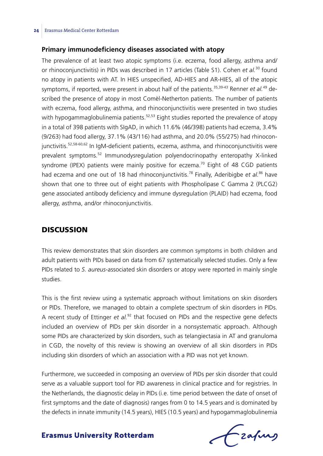### **Primary immunodeficiency diseases associated with atopy**

The prevalence of at least two atopic symptoms (i.e. eczema, food allergy, asthma and/ or rhinoconjunctivitis) in PIDs was described in 17 articles (Table S1). Cohen *et al.*30 found no atopy in patients with AT. In HIES unspecified, AD-HIES and AR-HIES, all of the atopic symptoms, if reported, were present in about half of the patients.<sup>35,39-43</sup> Renner *et al.*<sup>49</sup> described the presence of atopy in most Comèl-Netherton patients. The number of patients with eczema, food allergy, asthma, and rhinoconjunctivitis were presented in two studies with hypogammaglobulinemia patients.<sup>52,53</sup> Eight studies reported the prevalence of atopy in a total of 398 patients with SIgAD, in which 11.6% (46/398) patients had eczema, 3.4% (9/263) had food allergy, 37.1% (43/116) had asthma, and 20.0% (55/275) had rhinoconjunctivitis.<sup>52,58-60,62</sup> In IgM-deficient patients, eczema, asthma, and rhinoconjunctivitis were prevalent symptoms.52 Immunodysregulation polyendocrinopathy enteropathy X-linked syndrome (IPEX) patients were mainly positive for eczema.<sup>70</sup> Eight of 48 CGD patients had eczema and one out of 18 had rhinoconjunctivitis.<sup>78</sup> Finally, Aderibigbe *et al.*<sup>86</sup> have shown that one to three out of eight patients with Phospholipase C Gamma 2 (PLCG2) gene associated antibody deficiency and immune dysregulation (PLAID) had eczema, food allergy, asthma, and/or rhinoconjunctivitis.

#### **DISCUSSION**

This review demonstrates that skin disorders are common symptoms in both children and adult patients with PIDs based on data from 67 systematically selected studies. Only a few PIDs related to *S. aureus*-associated skin disorders or atopy were reported in mainly single studies.

This is the first review using a systematic approach without limitations on skin disorders or PIDs. Therefore, we managed to obtain a complete spectrum of skin disorders in PIDs. A recent study of Ettinger *et al.*92 that focused on PIDs and the respective gene defects included an overview of PIDs per skin disorder in a nonsystematic approach. Although some PIDs are characterized by skin disorders, such as telangiectasia in AT and granuloma in CGD, the novelty of this review is showing an overview of all skin disorders in PIDs including skin disorders of which an association with a PID was not yet known.

Furthermore, we succeeded in composing an overview of PIDs per skin disorder that could serve as a valuable support tool for PID awareness in clinical practice and for registries. In the Netherlands, the diagnostic delay in PIDs (i.e. time period between the date of onset of first symptoms and the date of diagnosis) ranges from 0 to 14.5 years and is dominated by the defects in innate immunity (14.5 years), HIES (10.5 years) and hypogammaglobulinemia

frafing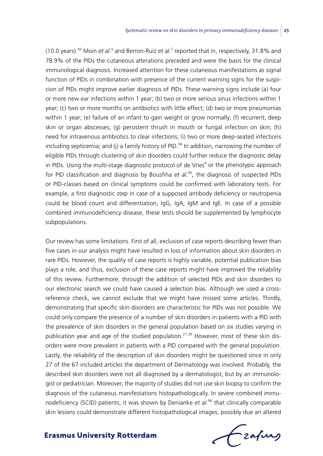(10.0 years).<sup>93</sup> Moin *et al.*<sup>6</sup> and Berron-Ruiz *et al.<sup>7</sup>* reported that in, respectively, 31.8% and 78.9% of the PIDs the cutaneous alterations preceded and were the basis for the clinical immunological diagnosis. Increased attention for these cutaneous manifestations as signal function of PIDs in combination with presence of the current warning signs for the suspicion of PIDs might improve earlier diagnosis of PIDs. These warning signs include (a) four or more new ear infections within 1 year; (b) two or more serious sinus infections within 1 year; (c) two or more months on antibiotics with little effect; (d) two or more pneumonias within 1 year; (e) failure of an infant to gain weight or grow normally; (f) recurrent, deep skin or organ abscesses; (g) persistent thrush in mouth or fungal infection on skin; (h) need for intravenous antibiotics to clear infections; (i) two or more deep-seated infections including septicemia; and (j) a family history of PID.<sup>94</sup> In addition, narrowing the number of eligible PIDs through clustering of skin disorders could further reduce the diagnostic delay in PIDs. Using the multi-stage diagnostic protocol of de Vries<sup>4</sup> or the phenotypic approach for PID classification and diagnosis by Bousfiha *et al.*95, the diagnosis of suspected PIDs or PID-classes based on clinical symptoms could be confirmed with laboratory tests. For example, a first diagnostic step in case of a supposed antibody deficiency or neutropenia could be blood count and differentiation, IgG, IgA, IgM and IgE. In case of a possible combined immunodeficiency disease, these tests should be supplemented by lymphocyte subpopulations.

Our review has some limitations. First of all, exclusion of case reports describing fewer than five cases in our analysis might have resulted in loss of information about skin disorders in rare PIDs. However, the quality of case reports is highly variable, potential publication bias plays a role, and thus, exclusion of these case reports might have improved the reliability of this review. Furthermore, through the addition of selected PIDs and skin disorders to our electronic search we could have caused a selection bias. Although we used a crossreference check, we cannot exclude that we might have missed some articles. Thirdly, demonstrating that specific skin disorders are characteristic for PIDs was not possible. We could only compare the presence of a number of skin disorders in patients with a PID with the prevalence of skin disorders in the general population based on six studies varying in publication year and age of the studied population.<sup>21-26</sup> However, most of these skin disorders were more prevalent in patients with a PID compared with the general population. Lastly, the reliability of the description of skin disorders might be questioned since in only 27 of the 67 included articles the department of Dermatology was involved. Probably, the described skin disorders were not all diagnosed by a dermatologist, but by an immunologist or pediatrician. Moreover, the majority of studies did not use skin biopsy to confirm the diagnosis of the cutaneous manifestations histopathologically. In severe combined immunodeficiency (SCID) patients, it was shown by Denianke *et al*. 96 that clinically comparable skin lesions could demonstrate different histopathological images, possibly due an altered

frafing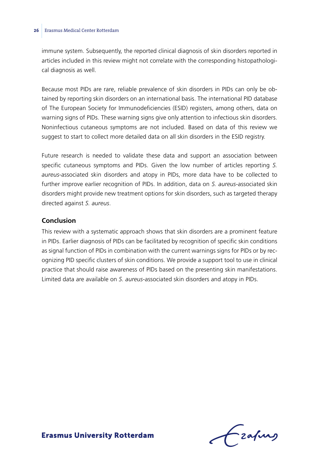immune system. Subsequently, the reported clinical diagnosis of skin disorders reported in articles included in this review might not correlate with the corresponding histopathological diagnosis as well.

Because most PIDs are rare, reliable prevalence of skin disorders in PIDs can only be obtained by reporting skin disorders on an international basis. The international PID database of The European Society for Immunodeficiencies (ESID) registers, among others, data on warning signs of PIDs. These warning signs give only attention to infectious skin disorders. Noninfectious cutaneous symptoms are not included. Based on data of this review we suggest to start to collect more detailed data on all skin disorders in the ESID registry.

Future research is needed to validate these data and support an association between specific cutaneous symptoms and PIDs. Given the low number of articles reporting *S. aureus*-associated skin disorders and atopy in PIDs, more data have to be collected to further improve earlier recognition of PIDs. In addition, data on *S. aureus-*associated skin disorders might provide new treatment options for skin disorders, such as targeted therapy directed against *S. aureus*.

#### **Conclusion**

This review with a systematic approach shows that skin disorders are a prominent feature in PIDs. Earlier diagnosis of PIDs can be facilitated by recognition of specific skin conditions as signal function of PIDs in combination with the current warnings signs for PIDs or by recognizing PID specific clusters of skin conditions. We provide a support tool to use in clinical practice that should raise awareness of PIDs based on the presenting skin manifestations. Limited data are available on *S. aureus*-associated skin disorders and atopy in PIDs.

Lzafurg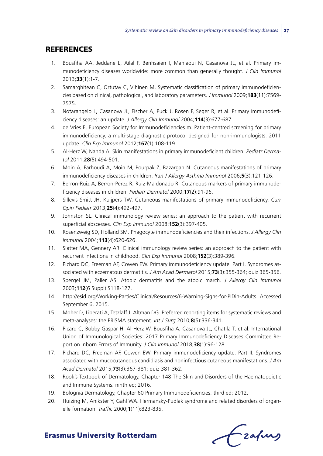### **REFERENCES**

- 1. Bousfiha AA, Jeddane L, Ailal F, Benhsaien I, Mahlaoui N, Casanova JL, et al. Primary immunodeficiency diseases worldwide: more common than generally thought. *J Clin Immunol* 2013;**33**(1):1-7.
- 2. Samarghitean C, Ortutay C, Vihinen M. Systematic classification of primary immunodeficiencies based on clinical, pathological, and laboratory parameters. *J Immunol* 2009;**183**(11):7569- 7575.
- 3. Notarangelo L, Casanova JL, Fischer A, Puck J, Rosen F, Seger R, et al. Primary immunodeficiency diseases: an update. *J Allergy Clin Immunol* 2004;**114**(3):677-687.
- 4. de Vries E, European Society for Immunodeficiencies m. Patient-centred screening for primary immunodeficiency, a multi-stage diagnostic protocol designed for non-immunologists: 2011 update. *Clin Exp Immunol* 2012;**167**(1):108-119.
- 5. Al-Herz W, Nanda A. Skin manifestations in primary immunodeficient children. *Pediatr Dermatol* 2011;**28**(5):494-501.
- 6. Moin A, Farhoudi A, Moin M, Pourpak Z, Bazargan N. Cutaneous manifestations of primary immunodeficiency diseases in children. *Iran J Allergy Asthma Immunol* 2006;**5**(3):121-126.
- 7. Berron-Ruiz A, Berron-Perez R, Ruiz-Maldonado R. Cutaneous markers of primary immunodeficiency diseases in children. *Pediatr Dermatol* 2000;**17**(2):91-96.
- 8. Sillevis Smitt JH, Kuijpers TW. Cutaneous manifestations of primary immunodeficiency. *Curr Opin Pediatr* 2013;**25**(4):492-497.
- 9. Johnston SL. Clinical immunology review series: an approach to the patient with recurrent superficial abscesses. *Clin Exp Immunol* 2008;**152**(3):397-405.
- 10. Rosenzweig SD, Holland SM. Phagocyte immunodeficiencies and their infections. *J Allergy Clin Immunol* 2004;**113**(4):620-626.
- 11. Slatter MA, Gennery AR. Clinical immunology review series: an approach to the patient with recurrent infections in childhood. *Clin Exp Immunol* 2008;**152**(3):389-396.
- 12. Pichard DC, Freeman AF, Cowen EW. Primary immunodeficiency update: Part I. Syndromes associated with eczematous dermatitis. *J Am Acad Dermatol* 2015;**73**(3):355-364; quiz 365-356.
- 13. Spergel JM, Paller AS. Atopic dermatitis and the atopic march. *J Allergy Clin Immunol* 2003;**112**(6 Suppl):S118-127.
- 14. http://esid.org/Working-Parties/Clinical/Resources/6-Warning-Signs-for-PIDin-Adults. Accessed September 6, 2015.
- 15. Moher D, Liberati A, Tetzlaff J, Altman DG. Preferred reporting items for systematic reviews and meta-analyses: the PRISMA statement. *Int J Surg* 2010;**8**(5):336-341.
- 16. Picard C, Bobby Gaspar H, Al-Herz W, Bousfiha A, Casanova JL, Chatila T, et al. International Union of Immunological Societies: 2017 Primary Immunodeficiency Diseases Committee Report on Inborn Errors of Immunity. *J Clin Immunol* 2018;**38**(1):96-128.
- 17. Pichard DC, Freeman AF, Cowen EW. Primary immunodeficiency update: Part II. Syndromes associated with mucocutaneous candidiasis and noninfectious cutaneous manifestations. *J Am Acad Dermatol* 2015;**73**(3):367-381; quiz 381-362.
- 18. Rook's Textbook of Dermatology, Chapter 148 The Skin and Disorders of the Haematopoietic and Immune Systems. ninth ed; 2016.
- 19. Bolognia Dermatology, Chapter 60 Primary Immunodeficiencies. third ed; 2012.
- 20. Huizing M, Anikster Y, Gahl WA. Hermansky-Pudlak syndrome and related disorders of organelle formation. *Traffic* 2000;**1**(11):823-835.

Czafing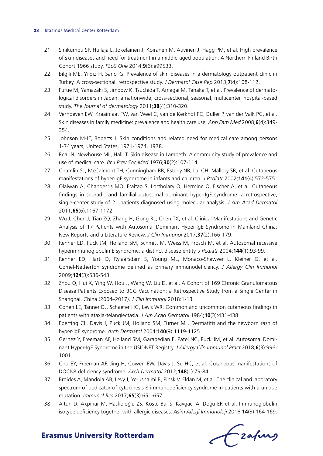- 21. Sinikumpu SP, Huilaja L, Jokelainen J, Koiranen M, Auvinen J, Hagg PM, et al. High prevalence of skin diseases and need for treatment in a middle-aged population. A Northern Finland Birth Cohort 1966 study. *PLoS One* 2014;**9**(6):e99533.
- 22. Bilgili ME, Yildiz H, Sarici G. Prevalence of skin diseases in a dermatology outpatient clinic in Turkey. A cross-sectional, retrospective study. *J Dermatol Case Rep* 2013;**7**(4):108-112.
- 23. Furue M, Yamazaki S, Jimbow K, Tsuchida T, Amagai M, Tanaka T, et al. Prevalence of dermatological disorders in Japan: a nationwide, cross-sectional, seasonal, multicenter, hospital-based study. *The Journal of dermatology* 2011;**38**(4):310-320.
- 24. Verhoeven EW, Kraaimaat FW, van Weel C, van de Kerkhof PC, Duller P, van der Valk PG, et al. Skin diseases in family medicine: prevalence and health care use. *Ann Fam Med* 2008;**6**(4):349- 354.
- 25. Johnson M-LT, Roberts J. Skin conditions and related need for medical care among persons 1-74 years, United States, 1971-1974. 1978.
- 26. Rea JN, Newhouse ML, Halil T. Skin disease in Lambeth. A community study of prevalence and use of medical care. *Br J Prev Soc Med* 1976;**30**(2):107-114.
- 27. Chamlin SL, McCalmont TH, Cunningham BB, Esterly NB, Lai CH, Mallory SB, et al. Cutaneous manifestations of hyper-IgE syndrome in infants and children. *J Pediatr* 2002;**141**(4):572-575.
- 28. Olaiwan A, Chandesris MO, Fraitag S, Lortholary O, Hermine O, Fischer A, et al. Cutaneous findings in sporadic and familial autosomal dominant hyper-IgE syndrome: a retrospective, single-center study of 21 patients diagnosed using molecular analysis. *J Am Acad Dermatol* 2011;**65**(6):1167-1172.
- 29. Wu J, Chen J, Tian ZQ, Zhang H, Gong RL, Chen TX, et al. Clinical Manifestations and Genetic Analysis of 17 Patients with Autosomal Dominant Hyper-IgE Syndrome in Mainland China: New Reports and a Literature Review. *J Clin Immunol* 2017;**37**(2):166-179.
- 30. Renner ED, Puck JM, Holland SM, Schmitt M, Weiss M, Frosch M, et al. Autosomal recessive hyperimmunoglobulin E syndrome: a distinct disease entity. *J Pediatr* 2004;**144**(1):93-99.
- 31. Renner ED, Hartl D, Rylaarsdam S, Young ML, Monaco-Shawver L, Kleiner G, et al. Comel-Netherton syndrome defined as primary immunodeficiency. *J Allergy Clin Immunol* 2009;**124**(3):536-543.
- 32. Zhou Q, Hui X, Ying W, Hou J, Wang W, Liu D, et al. A Cohort of 169 Chronic Granulomatous Disease Patients Exposed to BCG Vaccination: a Retrospective Study from a Single Center in Shanghai, China (2004–2017). *J Clin Immunol* 2018:1-13.
- 33. Cohen LE, Tanner DJ, Schaefer HG, Levis WR. Common and uncommon cutaneous findings in patients with ataxia-telangiectasia. *J Am Acad Dermatol* 1984;**10**(3):431-438.
- 34. Eberting CL, Davis J, Puck JM, Holland SM, Turner ML. Dermatitis and the newborn rash of hyper-IgE syndrome. *Arch Dermatol* 2004;**140**(9):1119-1125.
- 35. Gernez Y, Freeman AF, Holland SM, Garabedian E, Patel NC, Puck JM, et al. Autosomal Dominant Hyper-IgE Syndrome in the USIDNET Registry. *J Allergy Clin Immunol Pract* 2018;**6**(3):996- 1001.
- 36. Chu EY, Freeman AF, Jing H, Cowen EW, Davis J, Su HC, et al. Cutaneous manifestations of DOCK8 deficiency syndrome. *Arch Dermatol* 2012;**148**(1):79-84.
- 37. Broides A, Mandola AB, Levy J, Yerushalmi B, Pinsk V, Eldan M, et al. The clinical and laboratory spectrum of dedicator of cytokinesis 8 immunodeficiency syndrome in patients with a unique mutation. *Immunol Res* 2017;**65**(3):651-657.
- 38. Altun D, Akpinar M, Haskoloğlu ZS, Köste Bal S, Kavgaci A, Doğu EF, et al. Immunoglobulin isotype deficiency together with allergic diseases. *Asim Allerji Immunoloji* 2016;**14**(3):164-169.

Fraques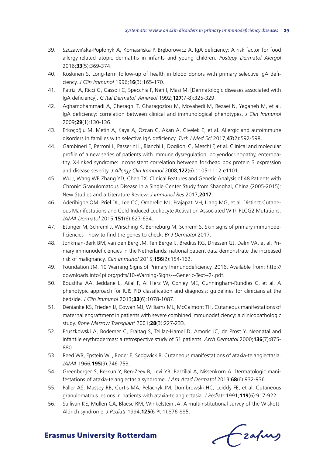- 39. Szczawińska-Popłonyk A, Komasińska P, Breborowicz A. IgA deficiency: A risk factor for food allergy-related atopic dermatitis in infants and young children. *Postepy Dermatol Alergol* 2016;**33**(5):369-374.
- 40. Koskinen S. Long-term follow-up of health in blood donors with primary selective IgA deficiency. *J Clin Immunol* 1996;**16**(3):165-170.
- 41. Patrizi A, Ricci G, Cassoli C, Specchia F, Neri I, Masi M. [Dermatologic diseases associated with IgA deficiency]. *G Ital Dermatol Venereol* 1992;**127**(7-8):325-329.
- 42. Aghamohammadi A, Cheraghi T, Gharagozlou M, Movahedi M, Rezaei N, Yeganeh M, et al. IgA deficiency: correlation between clinical and immunological phenotypes. *J Clin Immunol* 2009;**29**(1):130-136.
- 43. Erkoçoğlu M, Metin A, Kaya A, Özcan C, Akan A, Civelek E, et al. Allergic and autoimmune disorders in families with selective IgA deficiency. *Turk J Med Sci* 2017;**47**(2):592-598.
- 44. Gambineri E, Perroni L, Passerini L, Bianchi L, Doglioni C, Meschi F, et al. Clinical and molecular profile of a new series of patients with immune dysregulation, polyendocrinopathy, enteropathy, X-linked syndrome: inconsistent correlation between forkhead box protein 3 expression and disease severity. *J Allergy Clin Immunol* 2008;**122**(6):1105-1112 e1101.
- 45. Wu J, Wang WF, Zhang YD, Chen TX. Clinical Features and Genetic Analysis of 48 Patients with Chronic Granulomatous Disease in a Single Center Study from Shanghai, China (2005-2015): New Studies and a Literature Review. *J Immunol Res* 2017;**2017**.
- 46. Aderibigbe OM, Priel DL, Lee CC, Ombrello MJ, Prajapati VH, Liang MG, et al. Distinct Cutaneous Manifestations and Cold-Induced Leukocyte Activation Associated With PLCG2 Mutations. *JAMA Dermatol* 2015;**151**(6):627-634.
- 47. Ettinger M, Schreml J, Wirsching K, Berneburg M, Schreml S. Skin signs of primary immunodeficiencies - how to find the genes to check. *Br J Dermatol* 2017.
- 48. Jonkman-Berk BM, van den Berg JM, Ten Berge IJ, Bredius RG, Driessen GJ, Dalm VA, et al. Primary immunodeficiencies in the Netherlands: national patient data demonstrate the increased risk of malignancy. *Clin Immunol* 2015;**156**(2):154-162.
- 49. Foundation JM. 10 Warning Signs of Primary Immunodeficiency. 2016. Available from: http:// downloads.info4pi.org/pdfs/10-Warning-Signs---Generic-Text--2-.pdf.
- 50. Bousfiha AA, Jeddane L, Ailal F, Al Herz W, Conley ME, Cunningham-Rundles C, et al. A phenotypic approach for IUIS PID classification and diagnosis: guidelines for clinicians at the bedside. *J Clin Immunol* 2013;**33**(6):1078-1087.
- 51. Denianke KS, Frieden IJ, Cowan MJ, Williams ML, McCalmont TH. Cutaneous manifestations of maternal engraftment in patients with severe combined immunodeficiency: a clinicopathologic study. *Bone Marrow Transplant* 2001;**28**(3):227-233.
- 52. Pruszkowski A, Bodemer C, Fraitag S, Teillac-Hamel D, Amoric JC, de Prost Y. Neonatal and infantile erythrodermas: a retrospective study of 51 patients. *Arch Dermatol* 2000;**136**(7):875- 880.
- 53. Reed WB, Epstein WL, Boder E, Sedgwick R. Cutaneous manifestations of ataxia-telangiectasia. *JAMA* 1966;**195**(9):746-753.
- 54. Greenberger S, Berkun Y, Ben-Zeev B, Levi YB, Barziliai A, Nissenkorn A. Dermatologic manifestations of ataxia-telangiectasia syndrome. *J Am Acad Dermatol* 2013;**68**(6):932-936.
- 55. Paller AS, Massey RB, Curtis MA, Pelachyk JM, Dombrowski HC, Leickly FE, et al. Cutaneous granulomatous lesions in patients with ataxia-telangiectasia. *J Pediatr* 1991;**119**(6):917-922.
- 56. Sullivan KE, Mullen CA, Blaese RM, Winkelstein JA. A multiinstitutional survey of the Wiskott-Aldrich syndrome. *J Pediatr* 1994;**125**(6 Pt 1):876-885.

frahing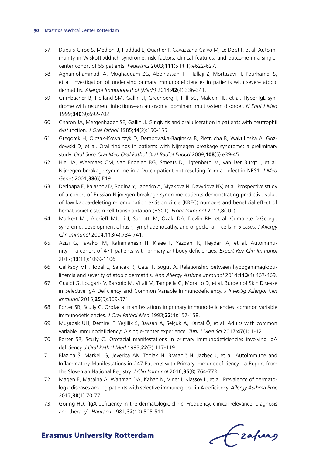- 57. Dupuis-Girod S, Medioni J, Haddad E, Quartier P, Cavazzana-Calvo M, Le Deist F, et al. Autoimmunity in Wiskott-Aldrich syndrome: risk factors, clinical features, and outcome in a singlecenter cohort of 55 patients. *Pediatrics* 2003;**111**(5 Pt 1):e622-627.
- 58. Aghamohammadi A, Moghaddam ZG, Abolhassani H, Hallaji Z, Mortazavi H, Pourhamdi S, et al. Investigation of underlying primary immunodeficiencies in patients with severe atopic dermatitis. *Allergol Immunopathol (Madr)* 2014;**42**(4):336-341.
- 59. Grimbacher B, Holland SM, Gallin JI, Greenberg F, Hill SC, Malech HL, et al. Hyper-IgE syndrome with recurrent infections--an autosomal dominant multisystem disorder. *N Engl J Med* 1999;**340**(9):692-702.
- 60. Charon JA, Mergenhagen SE, Gallin JI. Gingivitis and oral ulceration in patients with neutrophil dysfunction. *J Oral Pathol* 1985;**14**(2):150-155.
- 61. Gregorek H, Olczak-Kowalczyk D, Dembowska-Baginska B, Pietrucha B, Wakulinska A, Gozdowski D, et al. Oral findings in patients with Nijmegen breakage syndrome: a preliminary study. *Oral Surg Oral Med Oral Pathol Oral Radiol Endod* 2009;**108**(5):e39-45.
- 62. Hiel JA, Weemaes CM, van Engelen BG, Smeets D, Ligtenberg M, van Der Burgt I, et al. Nijmegen breakage syndrome in a Dutch patient not resulting from a defect in NBS1. *J Med Genet* 2001;**38**(6):E19.
- 63. Deripapa E, Balashov D, Rodina Y, Laberko A, Myakova N, Davydova NV, et al. Prospective study of a cohort of Russian Nijmegen breakage syndrome patients demonstrating predictive value of low kappa-deleting recombination excision circle (KREC) numbers and beneficial effect of hematopoietic stem cell transplantation (HSCT). *Front Immunol* 2017;**8**(JUL).
- 64. Markert ML, Alexieff MJ, Li J, Sarzotti M, Ozaki DA, Devlin BH, et al. Complete DiGeorge syndrome: development of rash, lymphadenopathy, and oligoclonal T cells in 5 cases. *J Allergy Clin Immunol* 2004;**113**(4):734-741.
- 65. Azizi G, Tavakol M, Rafiemanesh H, Kiaee F, Yazdani R, Heydari A, et al. Autoimmunity in a cohort of 471 patients with primary antibody deficiencies. *Expert Rev Clin Immunol* 2017;**13**(11):1099-1106.
- 66. Celiksoy MH, Topal E, Sancak R, Catal F, Sogut A. Relationship between hypogammaglobulinemia and severity of atopic dermatitis. *Ann Allergy Asthma Immunol* 2014;**113**(4):467-469.
- 67. Gualdi G, Lougaris V, Baronio M, Vitali M, Tampella G, Moratto D, et al. Burden of Skin Disease in Selective IgA Deficiency and Common Variable Immunodeficiency. *J Investig Allergol Clin Immunol* 2015;**25**(5):369-371.
- 68. Porter SR, Scully C. Orofacial manifestations in primary immunodeficiencies: common variable immunodeficiencies. *J Oral Pathol Med* 1993;**22**(4):157-158.
- 69. Muşabak UH, Demirel F, Yeşillik S, Baysan A, Selçuk A, Kartal Ö, et al. Adults with common variable immunodeficiency: A single-center experience. *Turk J Med Sci* 2017;**47**(1):1-12.
- 70. Porter SR, Scully C. Orofacial manifestations in primary immunodeficiencies involving IgA deficiency. *J Oral Pathol Med* 1993;**22**(3):117-119.
- 71. Blazina Š, Markelj G, Jeverica AK, Toplak N, Bratanič N, Jazbec J, et al. Autoimmune and Inflammatory Manifestations in 247 Patients with Primary Immunodeficiency—a Report from the Slovenian National Registry. *J Clin Immunol* 2016;**36**(8):764-773.
- 72. Magen E, Masalha A, Waitman DA, Kahan N, Viner I, Klassov L, et al. Prevalence of dermatologic diseases among patients with selective immunoglobulin A deficiency. *Allergy Asthma Proc* 2017;**38**(1):70-77.
- 73. Goring HD. [IgA deficiency in the dermatologic clinic. Frequency, clinical relevance, diagnosis and therapy]. *Hautarzt* 1981;**32**(10):505-511.

fraques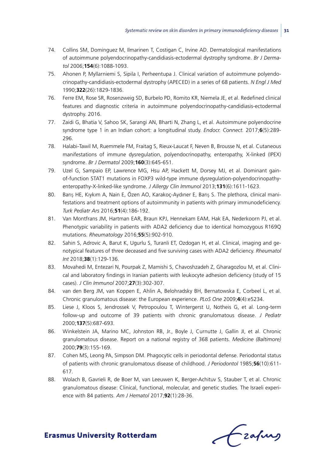- 74. Collins SM, Dominguez M, Ilmarinen T, Costigan C, Irvine AD. Dermatological manifestations of autoimmune polyendocrinopathy-candidiasis-ectodermal dystrophy syndrome. *Br J Dermatol* 2006;**154**(6):1088-1093.
- 75. Ahonen P, Myllarniemi S, Sipila I, Perheentupa J. Clinical variation of autoimmune polyendocrinopathy-candidiasis-ectodermal dystrophy (APECED) in a series of 68 patients. *N Engl J Med* 1990;**322**(26):1829-1836.
- 76. Ferre EM, Rose SR, Rosenzweig SD, Burbelo PD, Romito KR, Niemela JE, et al. Redefined clinical features and diagnostic criteria in autoimmune polyendocrinopathy-candidiasis-ectodermal dystrophy. 2016.
- 77. Zaidi G, Bhatia V, Sahoo SK, Sarangi AN, Bharti N, Zhang L, et al. Autoimmune polyendocrine syndrome type 1 in an Indian cohort: a longitudinal study. *Endocr. Connect.* 2017;**6**(5):289- 296.
- 78. Halabi-Tawil M, Ruemmele FM, Fraitag S, Rieux-Laucat F, Neven B, Brousse N, et al. Cutaneous manifestations of immune dysregulation, polyendocrinopathy, enteropathy, X-linked (IPEX) syndrome. *Br J Dermatol* 2009;**160**(3):645-651.
- 79. Uzel G, Sampaio EP, Lawrence MG, Hsu AP, Hackett M, Dorsey MJ, et al. Dominant gainof-function STAT1 mutations in FOXP3 wild-type immune dysregulation-polyendocrinopathyenteropathy-X-linked-like syndrome. *J Allergy Clin Immunol* 2013;**131**(6):1611-1623.
- 80. Barış HE, Kıykım A, Nain E, Özen AO, Karakoç-Aydıner E, Barış S. The plethora, clinical manifestations and treatment options of autoimmunity in patients with primary immunodeficiency. *Turk Pediatr Ars* 2016;**51**(4):186-192.
- 81. Van Montfrans JM, Hartman EAR, Braun KPJ, Hennekam EAM, Hak EA, Nederkoorn PJ, et al. Phenotypic variability in patients with ADA2 deficiency due to identical homozygous R169Q mutations. *Rheumatology* 2016;**55**(5):902-910.
- 82. Sahin S, Adrovic A, Barut K, Ugurlu S, Turanli ET, Ozdogan H, et al. Clinical, imaging and genotypical features of three deceased and five surviving cases with ADA2 deficiency. *Rheumatol Int* 2018;**38**(1):129-136.
- 83. Movahedi M, Entezari N, Pourpak Z, Mamishi S, Chavoshzadeh Z, Gharagozlou M, et al. Clinical and laboratory findings in Iranian patients with leukocyte adhesion deficiency (study of 15 cases). *J Clin Immunol* 2007;**27**(3):302-307.
- 84. van den Berg JM, van Koppen E, Ahlin A, Belohradsky BH, Bernatowska E, Corbeel L, et al. Chronic granulomatous disease: the European experience. *PLoS One* 2009;**4**(4):e5234.
- 85. Liese J, Kloos S, Jendrossek V, Petropoulou T, Wintergerst U, Notheis G, et al. Long-term follow-up and outcome of 39 patients with chronic granulomatous disease. *J Pediatr* 2000;**137**(5):687-693.
- 86. Winkelstein JA, Marino MC, Johnston RB, Jr., Boyle J, Curnutte J, Gallin JI, et al. Chronic granulomatous disease. Report on a national registry of 368 patients. *Medicine (Baltimore)* 2000;**79**(3):155-169.
- 87. Cohen MS, Leong PA, Simpson DM. Phagocytic cells in periodontal defense. Periodontal status of patients with chronic granulomatous disease of childhood. *J Periodontol* 1985;**56**(10):611- 617.
- 88. Wolach B, Gavrieli R, de Boer M, van Leeuwen K, Berger-Achituv S, Stauber T, et al. Chronic granulomatous disease: Clinical, functional, molecular, and genetic studies. The Israeli experience with 84 patients. *Am J Hematol* 2017;**92**(1):28-36.

Czafing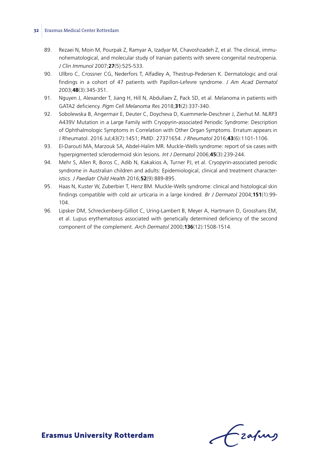- 89. Rezaei N, Moin M, Pourpak Z, Ramyar A, Izadyar M, Chavoshzadeh Z, et al. The clinical, immunohematological, and molecular study of Iranian patients with severe congenital neutropenia. *J Clin Immunol* 2007;**27**(5):525-533.
- 90. Ullbro C, Crossner CG, Nederfors T, Alfadley A, Thestrup-Pedersen K. Dermatologic and oral findings in a cohort of 47 patients with Papillon-Lefevre syndrome. *J Am Acad Dermatol* 2003;**48**(3):345-351.
- 91. Nguyen J, Alexander T, Jiang H, Hill N, Abdullaev Z, Pack SD, et al. Melanoma in patients with GATA2 deficiency. *Pigm Cell Melanoma Res* 2018;**31**(2):337-340.
- 92. Sobolewska B, Angermair E, Deuter C, Doycheva D, Kuemmerle-Deschner J, Zierhut M. NLRP3 A439V Mutation in a Large Family with Cryopyrin-associated Periodic Syndrome: Description of Ophthalmologic Symptoms in Correlation with Other Organ Symptoms. Erratum appears in J Rheumatol. 2016 Jul;43(7):1451; PMID: 27371654. *J Rheumatol* 2016;**43**(6):1101-1106.
- 93. El-Darouti MA, Marzouk SA, Abdel-Halim MR. Muckle-Wells syndrome: report of six cases with hyperpigmented sclerodermoid skin lesions. *Int J Dermatol* 2006;**45**(3):239-244.
- 94. Mehr S, Allen R, Boros C, Adib N, Kakakios A, Turner PJ, et al. Cryopyrin-associated periodic syndrome in Australian children and adults: Epidemiological, clinical and treatment characteristics. *J Paediatr Child Health* 2016;**52**(9):889-895.
- 95. Haas N, Kuster W, Zuberbier T, Henz BM. Muckle-Wells syndrome: clinical and histological skin findings compatible with cold air urticaria in a large kindred. *Br J Dermatol* 2004;**151**(1):99- 104.
- 96. Lipsker DM, Schreckenberg-Gilliot C, Uring-Lambert B, Meyer A, Hartmann D, Grosshans EM, et al. Lupus erythematosus associated with genetically determined deficiency of the second component of the complement. *Arch Dermatol* 2000;**136**(12):1508-1514.

Frahing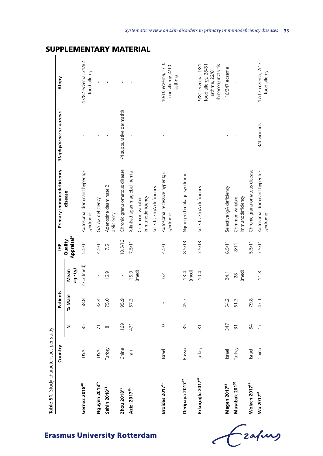| Table S1. Study characteristics per study |         |                     |          |                 |                                   |                                           |                                    |                                                                                  |
|-------------------------------------------|---------|---------------------|----------|-----------------|-----------------------------------|-------------------------------------------|------------------------------------|----------------------------------------------------------------------------------|
|                                           | Country |                     | Patients |                 | Ï                                 | Primary immunodeficiency                  | Staphylococcus aureus <sup>b</sup> | Atopy <sup>c</sup>                                                               |
|                                           |         | z                   | % Male   | age (y)<br>Mean | Appraisal <sup>a</sup><br>Quality | disease                                   |                                    |                                                                                  |
| Gernez 2018 <sup>40</sup>                 | USA     | 85                  | 58.8     | $27.3$ (med)    | 5.5/11                            | Autosomal dominant hyper IgE<br>syndrome  |                                    | 47/82 eczema, 31/82<br>food allergy                                              |
| Nguyen 2018 <sup>85</sup>                 | USA     | $\overline{2}$      | 32.4     |                 | 4.5/11                            | GATA2 deficiency                          |                                    |                                                                                  |
| Sahin 2018 <sup>74</sup>                  | Turkey  | $\infty$            | 75.0     | 16.9            | 7.5                               | Adenosine deaminase 2<br>deficiency       |                                    |                                                                                  |
| Zhou 2018 <sup>80</sup>                   | China   | 169                 | 95.9     | ï               | 10.5/13                           | Chronic granulomatous disease             | 1/4 suppurative dermatitis         |                                                                                  |
| Azizi 2017 <sup>50</sup>                  | lran    | 471                 | 67.3     | 16.0            | 7.5/11                            | X-linked agammaglobulinemia               |                                    |                                                                                  |
|                                           |         |                     |          | (med)           |                                   | immunodeficiency<br>Common variable       |                                    |                                                                                  |
|                                           |         |                     |          |                 |                                   | Selective IgA deficiency                  |                                    |                                                                                  |
| Broides 2017 <sup>43</sup>                | Israel  | $\overline{0}$      |          | 6.4             | 4.5/11                            | Autosomal recessive hyper IgE<br>syndrome |                                    | 0/10 eczema, 1/10<br>food allergy, 4/10<br>asthma                                |
| Deripapa 2017 <sup>47</sup>               | Russia  | 35                  | 45.7     | (med)<br>13.4   | 8.5/13                            | Nijmegen breakage syndrome                |                                    |                                                                                  |
| Erkoçoğlu 2017 <sup>62</sup>              | Turkey  | $\overline{\infty}$ | ï        | 10.4            | 7.5/13                            | Selective IgA deficiency                  |                                    | rhinoconjunctivitis<br>9/81 eczema, 1/81<br>food allergy, 28/81<br>asthma, 22/81 |
| Magen 2017 <sup>63</sup>                  | Israel  | 347                 | 54.2     | 24.1            | 8.5/11                            | Selective IgA deficiency                  |                                    | 16/347 eczema                                                                    |
| Muşabak 201 <sup>56</sup>                 | Turkey  | $\overline{5}$      | 61.3     | (med)<br>28     | 8/11                              | mmunodeficiency<br>Common variable        |                                    |                                                                                  |
| Wolach 2017 <sup>82</sup>                 | srael   | 84                  | 79.8     | ï               | 5.5/11                            | Chronic granulomatous disease             |                                    |                                                                                  |
| Wu 2017 <sup>41</sup>                     | China   | $\overline{1}$      | 47.1     | 11.8            | 7.5/11                            | Autosomal dominant hyper IgE<br>syndrome  | 3/4 wounds                         | 17/17 eczema, 2/17<br>food allergy                                               |

# Supplementary material

Fraking  $\overline{\epsilon}$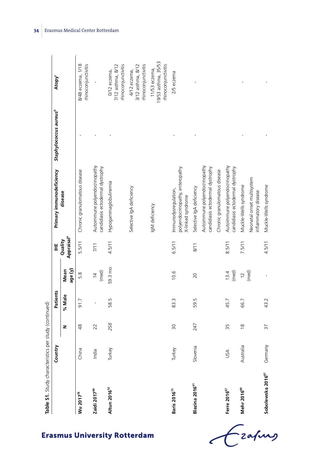Table S1. Study characteristics per study (continued) **Table S1.** Study characteristics per study (continued)

|                               | Country               |                | Patients |                        | Ï                                 | Primary immunodeficiency                                                     | Staphylococcus aureus <sup>b</sup> | Atopy <sup>c</sup>                                         |
|-------------------------------|-----------------------|----------------|----------|------------------------|-----------------------------------|------------------------------------------------------------------------------|------------------------------------|------------------------------------------------------------|
|                               |                       | z              | % Male   | age (y)<br>Mean        | Appraisal <sup>a</sup><br>Quality | disease                                                                      |                                    |                                                            |
| Wu 2017 <sup>78</sup>         | China                 | $\frac{8}{4}$  | 91.7     | 5.8                    | 5.5/11                            | Chronic granulomatous disease                                                |                                    | 8/48 eczema, 1/18<br>rhinoconjunctivitis                   |
| Zaidi 2017 <sup>68</sup>      | India                 | 22             |          | (med)<br>$\frac{4}{3}$ | 7/11                              | Autoimmune polyendocrinopathy<br>candidiasis ectodermal dystrophy            |                                    |                                                            |
| Altun 2016 <sup>52</sup>      | rkey<br>널             | 258            | 58.5     | 59.3 mo                | 4.5/11                            | Hypogammaglobulinemia                                                        |                                    | rhinoconjunctivitis<br>7/12 asthma, 8/12<br>0/12 eczema,   |
|                               |                       |                |          |                        |                                   | Selective IgA deficiency                                                     |                                    | rhinoconjunctivitis<br>3/12 asthma, 8/12<br>4/12 eczema,   |
|                               |                       |                |          |                        |                                   | IgM deficiency                                                               |                                    | 19/53 asthma, 35/53<br>minoconjunctivitis<br>11/53 eczema, |
| Baris 2016 <sup>72</sup>      | Turkey                | $\approx$      | 83.3     | 10.6                   | 6.5/11                            | polyendocrinopathy, enteropathy<br>Immunodysregulation,<br>X-linked syndrome |                                    | 2/5 eczema                                                 |
| Blazina 2016 <sup>61</sup>    | enia<br>$\frac{1}{2}$ | 247            | 59.5     | 20                     | 8/11                              | Selective IgA deficiency                                                     |                                    |                                                            |
|                               |                       |                |          |                        |                                   | Autoimmune polyendocrinopathy<br>candidiasis ectodermal dystrophy            |                                    |                                                            |
|                               |                       |                |          |                        |                                   | Chronic granulomatous disease                                                |                                    |                                                            |
| Ferre 2016 <sup>67</sup>      | USA                   | 35             | 45.7     | (med)<br>13.4          | 8.5/11                            | Autoimmune polyendocrinopathy<br>candidiasis ectodermal dystrophy            |                                    |                                                            |
| Mehr 2016 <sup>89</sup>       | Australia             | $\frac{8}{10}$ | 66.7     | $\frac{12}{(med)}$     | 7.5/11                            | Muckle-Wells syndrome                                                        |                                    |                                                            |
|                               |                       |                |          |                        |                                   | Neonatal onset multisystem<br>inflammatory disease                           |                                    |                                                            |
| Sobolewska 2016 <sup>87</sup> | Germany               | 57             | 43.2     |                        | 4.5/11                            | Muckle-Wells syndrome                                                        |                                    |                                                            |

Czafing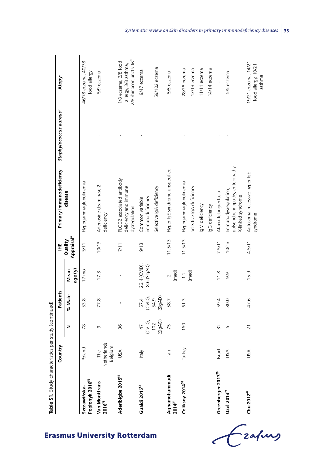| Completed a System DA Contractor of South 1, 2020 | ntry<br>ت<br>S                 |                            | Patients                 |                             | Ï                                 | Primary immunodeficiency                                                     | Staphylococcus aureus <sup>b</sup> | Atopy <sup>c</sup>                                                                   |
|---------------------------------------------------|--------------------------------|----------------------------|--------------------------|-----------------------------|-----------------------------------|------------------------------------------------------------------------------|------------------------------------|--------------------------------------------------------------------------------------|
|                                                   |                                | z                          | % Male                   | age (y)<br>Mean             | Appraisal <sup>a</sup><br>Quality | disease                                                                      |                                    |                                                                                      |
| Popłonyk 2016 <sup>53</sup><br>Szczawińska-       | Poland                         | 78                         | 53.8                     | $17 \text{ mo}$             | 5/11                              | Hypogammaglubulinemia                                                        |                                    | 46/78 eczema, 40/78<br>food allergy                                                  |
| Van Montfrans<br>2016 <sup>73</sup>               | The<br>Netherlands,<br>Belgium | G                          | 77.8                     | 17.3                        | 10/13                             | Adenosine deaminase 2<br>deficiency                                          |                                    | 5/9 eczema                                                                           |
| Aderibigbe 2015 <sup>86</sup>                     | USA                            | 36                         |                          |                             | 7/11                              | PLCG2 associated antibody<br>deficiency and immune<br>dysregulation          |                                    | 2/8 rhinoconjunctivitis <sup>d</sup><br>1/8 eczema, 3/8 food<br>allergy, 3/8 asthma, |
| Gualdi 2015 <sup>54</sup>                         | Italy                          | (CVID),<br>$\overline{47}$ | $(CVD),$<br>54.9<br>57.4 | 23.4 (CVID),<br>8.6 (SIgAD) | 9/13                              | mmunodeficiency<br>Common variable                                           |                                    | 9/47 eczema                                                                          |
|                                                   |                                | (SIgAD)<br>102             | (SIqAD)                  |                             |                                   | Selective IgA deficiency                                                     |                                    | 59/102 eczema                                                                        |
| Aghamohammadi<br>2014 <sup>34</sup>               | Iran                           | 75                         | 58.7                     | $2$<br>(med)                | 11.5/13                           | Hyper IgE syndrome unspecified                                               |                                    | 5/5 eczema                                                                           |
| Celiksoy 2014 <sup>51</sup>                       | Turkey                         | 160                        | 61.3                     | 1.2                         | 11.5/13                           | Hypogammaglobulinemia                                                        |                                    | 28/28 eczema                                                                         |
|                                                   |                                |                            |                          | (med)                       |                                   | Selective IgA deficiency                                                     |                                    | 13/13 eczema                                                                         |
|                                                   |                                |                            |                          |                             |                                   | IgM deficiency                                                               |                                    | 11/11 eczema                                                                         |
|                                                   |                                |                            |                          |                             |                                   | IgG deficiency                                                               |                                    | 14/14 eczema                                                                         |
| Greenberger 2013 <sup>29</sup>                    | Israel                         | 32                         | 59.4                     | 11.8                        | 7.5/11                            | Ataxia-telangiectasia                                                        |                                    |                                                                                      |
| Uze12013 <sup>71</sup>                            | USA                            | LN                         | 80.0                     | 9.9                         | 10/13                             | polyendocrinopathy, enteropathy<br>Immunodysregulation,<br>X-linked syndrome |                                    | 5/5 eczema                                                                           |
| Chu 2012 <sup>42</sup>                            | USA                            | $\overline{21}$            | 47.6                     | 15.9                        | 4.5/11                            | Autosomal recessive hyper IgE<br>syndrome                                    |                                    | 19/21 eczema, 14/21<br>food allergy, 10/21<br>asthma                                 |

Table S1. Study characteristics ner study (continued) **Table S1.** Study characteristics per study (continued)

Czapus

 $\epsilon$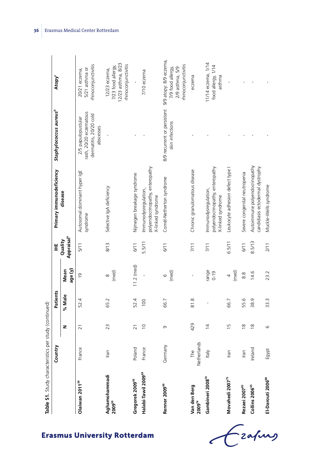| ì<br>֕<br>$\ddot{\phantom{a}}$<br>j |
|-------------------------------------|
| J<br><b>Contract</b><br>j           |
| j                                   |
| J<br>i                              |
|                                     |
|                                     |

|                           |                                            | Country            |                 | Patients |                   | Ï                                 | Primary immunodeficiency                                                     | Staphylococcus aureus <sup>b</sup>                                                  | Atopy <sup>c</sup>                                                                    |
|---------------------------|--------------------------------------------|--------------------|-----------------|----------|-------------------|-----------------------------------|------------------------------------------------------------------------------|-------------------------------------------------------------------------------------|---------------------------------------------------------------------------------------|
|                           |                                            |                    | z               | % Male   | age (y)<br>Mean   | Appraisal <sup>a</sup><br>Quality | disease                                                                      |                                                                                     |                                                                                       |
|                           | Olaiwan 2011 <sup>39</sup>                 | rance<br>正         | $\overline{z}$  | 52.4     | $\overline{0}$    | 5/11                              | Autosomal dominant hyper IgE<br>syndrome                                     | rash, 20/20 eczematous<br>dermatitis, 20/20 cold<br>2/5 papulopustular<br>abscesses | rhinoconjunctivitis<br>5/21 asthma or<br>20/21 eczema,                                |
| smus University Rotterdam | Aghamohammadi<br><b>2009</b> <sup>59</sup> | Iran               | 23              | 65.2     | (med)<br>$\infty$ | 8/13                              | Selective IgA deficiency                                                     |                                                                                     | 12/23 asthma, 8/23<br>rhinoconjunctivitis<br>7/23 food allergy,<br>12/23 eczema,      |
|                           | Gregorek 2009 <sup>45</sup>                | Poland             | $\overline{21}$ | 52.4     | $11.2$ (med)      | 6/11                              | Nijmegen breakage syndrome                                                   |                                                                                     |                                                                                       |
|                           | Halabi-Tawil 2009 <sup>69</sup>            | France             | $\overline{0}$  | 100      |                   | 5.5/11                            | polyendocrinopathy, enteropathy<br>Immunodysregulation,<br>X-linked syndrome |                                                                                     | 7/10 eczema                                                                           |
|                           | Renner 2009 <sup>49</sup>                  | Germany            | G               | 66.7     | (med)<br>$\circ$  | 6/11                              | Comèl-Netherton syndrome                                                     | 8/9 recurrent or persistent<br>skin infections                                      | 9/9 atopy: 8/9 eczema,<br>rhinoconjunctivitis<br>7/9 food allergy,<br>2/9 asthma, 5/9 |
|                           | Van den Berg<br>${\bf 2009}^{76}$          | Netherlands<br>The | 429             | 81.8     |                   | 7/11                              | Chronic granulomatous disease                                                |                                                                                     | eczema                                                                                |
|                           | Gambineri 2008 <sup>70</sup>               | Italy              | $\overline{4}$  |          | range<br>$0 - 19$ | 7/11                              | polyendocrinopathy, enteropathy<br>Immunodysregulation,<br>X-linked syndrome |                                                                                     | 11/14 eczema, 1/14<br>food allergy, 1/14<br>asthma                                    |
|                           | Movahedi 2007 <sup>75</sup>                | Iran               | $\frac{5}{1}$   | 66.7     | (med)<br>4        | 6.5/11                            | Leukocyte adhesion defect type                                               |                                                                                     |                                                                                       |
|                           | Rezaei 200783                              | Iran               | $\frac{8}{1}$   | 55.6     | $\frac{8}{8}$     | 6/11                              | Severe congenital neutropenia                                                |                                                                                     |                                                                                       |
|                           | Collins 2006 <sup>65</sup>                 | Ireland            | $\frac{8}{1}$   | 38.9     | 14.6              | 8.5/13                            | Autoimmune polyendocrinopathy<br>candidiasis ectodermal dystrophy            |                                                                                     |                                                                                       |
|                           | El-Darouti 2006 <sup>88</sup>              | Egypt              | 6               | 33.3     | 23.2              | 2/11                              | Muckle-Wells syndrome                                                        |                                                                                     |                                                                                       |

l,

**Erasmus University Rotterdam**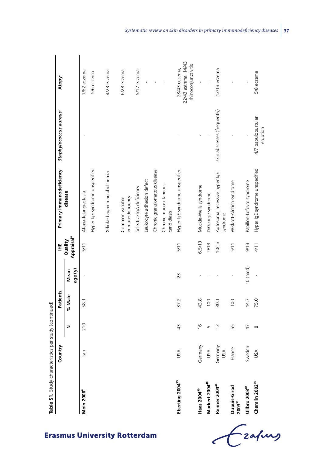| Table S1. Study characteristics per study (continued) |                 |                 |          |                 |                                   |                                           |                                    |                                                             |
|-------------------------------------------------------|-----------------|-----------------|----------|-----------------|-----------------------------------|-------------------------------------------|------------------------------------|-------------------------------------------------------------|
|                                                       | Country         |                 | Patients |                 | Ï                                 | Primary immunodeficiency                  | Staphylococcus aureus <sup>b</sup> | Atopy <sup>c</sup>                                          |
|                                                       |                 | z               | % Male   | age (y)<br>Mean | Appraisal <sup>a</sup><br>Quality | disease                                   |                                    |                                                             |
| Moin 2006 <sup>6</sup>                                | ran             | 210             | 58.1     |                 | 5/11                              | Ataxia-telangiectasia                     |                                    | 1/62 eczema                                                 |
|                                                       |                 |                 |          |                 |                                   | Hyper IgE syndrome unspecified            |                                    | 5/6 eczema                                                  |
|                                                       |                 |                 |          |                 |                                   | X-linked agammaglobulinemia               |                                    | 4/23 eczema                                                 |
|                                                       |                 |                 |          |                 |                                   | immunodeficiency<br>Common variable       |                                    | 6/28 eczema                                                 |
|                                                       |                 |                 |          |                 |                                   | Selective IgA deficiency                  |                                    | 5/17 eczema                                                 |
|                                                       |                 |                 |          |                 |                                   | Leukocyte adhesion defect                 |                                    |                                                             |
|                                                       |                 |                 |          |                 |                                   | Chronic granulomatous disease             |                                    | f,                                                          |
|                                                       |                 |                 |          |                 |                                   | Chronic mucocutaneous<br>candidiasis      |                                    | $\blacksquare$                                              |
| Eberting 2004 <sup>35</sup>                           | USA             | $\frac{3}{4}$   | 37.2     | 23              | 5/11                              | Hyper IgE syndrome unspecified            |                                    | 22/43 asthma, 14/43<br>rhinoconjunctivitis<br>28/43 eczema, |
| Haas 2004 <sup>90</sup>                               | Germany         | $\frac{6}{2}$   | 43.8     |                 | 6.5/13                            | Muckle-Wells syndrome                     | ï                                  | J,                                                          |
| Markert 2004 <sup>48</sup>                            | USA             | Б               | 100      |                 | 9/13                              | DiGeorge syndrome                         |                                    |                                                             |
| Renner 2004 <sup>44</sup>                             | Germany,<br>USA | $\tilde{c}$     | 30.1     |                 | 10/13                             | Autosomal recessive hyper IgE<br>syndrome | skin abscesses (frequently)        | 13/13 eczema                                                |
| Dupuis-Girod<br>2003 <sup>33</sup>                    | France          | 55              | 100      |                 | 5/11                              | Wiskott-Aldrich syndrome                  |                                    |                                                             |
| Ullbro 2003 <sup>84</sup>                             | Sweden          | $\overline{47}$ | 44.7     | $10$ (med)      | 9/13                              | Papillon-Lefèvre syndrome                 |                                    |                                                             |
| Chamlin 2002 <sup>36</sup>                            | USA             | $\infty$        | 75.0     |                 | 4/11                              | Hyper IgE syndrome unspecified            | 4/7 papulopustular<br>eruption     | 5/8 eczema                                                  |

Czafing

 $\epsilon$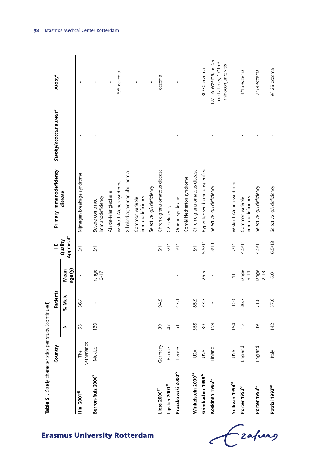| i                                                                                                            |  |
|--------------------------------------------------------------------------------------------------------------|--|
|                                                                                                              |  |
| .<br>גי המי                                                                                                  |  |
| ;<br>a la a ua atta uua?<br>֧֦֦֦֦֦֦֦֦֦֧֦֧֦֧֦֦֧֦֧֦֧֦֧֦֦֧֦֧֦֧֛֪֦֧֛֦֧֦֧֦֧֦֦֪֦֧֚֚֚֚֚֝֝֝֝֝֝֝֝֝֝֝֝֟֝֝֜֝֟֜֟֓֝֜֜֜֜֟֜ |  |
|                                                                                                              |  |
|                                                                                                              |  |
| י                                                                                                            |  |
|                                                                                                              |  |

| Table S1. Study characteristics per study (continued) |                         |                |          |                   |                                   |                                     |                                    |                                                                     |
|-------------------------------------------------------|-------------------------|----------------|----------|-------------------|-----------------------------------|-------------------------------------|------------------------------------|---------------------------------------------------------------------|
|                                                       | Country                 |                | Patients |                   | Ï                                 | Primary immunodeficiency            | Staphylococcus aureus <sup>b</sup> | Atopy <sup>c</sup>                                                  |
|                                                       |                         | z              | % Male   | age (y)<br>Mean   | Appraisal <sup>a</sup><br>Quality | disease                             |                                    |                                                                     |
| <b>Hiel 2001<sup>46</sup></b>                         | Netherlands<br>The      | 55             | 56.4     |                   | 3/11                              | Nijmegen breakage syndrome          |                                    |                                                                     |
| Berron-Ruiz 2000                                      | <b>lexico</b><br>$\geq$ | 130            | ı        | range<br>$0 - 17$ | 3/11                              | immunodeficiency<br>Severe combined |                                    |                                                                     |
|                                                       |                         |                |          |                   |                                   | Ataxia-telangiectasia               |                                    |                                                                     |
|                                                       |                         |                |          |                   |                                   | Wiskott-Aldrich syndrome            |                                    | 5/5 eczema                                                          |
|                                                       |                         |                |          |                   |                                   | X-linked agammaglobulinemia         |                                    |                                                                     |
|                                                       |                         |                |          |                   |                                   | immunodeficiency<br>Common variable |                                    |                                                                     |
|                                                       |                         |                |          |                   |                                   | Selective IgA deficiency            |                                    |                                                                     |
| Liese 2000 $^{77}$                                    | Germany                 | 39             | 94.9     |                   | 6/11                              | Chronic granulomatous disease       |                                    | eczema                                                              |
| Lipsker 2000 <sup>91</sup>                            | France                  | $\overline{4}$ |          |                   | 5/11                              | C2 deficiency                       |                                    | ï                                                                   |
| Pruszkowski 2000 <sup>27</sup>                        | rance                   | 51             | 47.1     |                   | 5/11                              | Omenn syndrome                      |                                    |                                                                     |
|                                                       |                         |                |          |                   |                                   | Comèl Netherton syndrome            |                                    |                                                                     |
| Winkelstein 2000 <sup>79</sup>                        | USA                     | 368            | 85.9     |                   | 5/11                              | Chronic granulomatous disease       |                                    |                                                                     |
| Grimbacher 1999 <sup>37</sup>                         | USA                     | 30             | 33.3     | 26.5              | 5.5/11                            | Hyper IgE syndrome unspecified      |                                    | 30/30 eczema                                                        |
| Koskinen 1996 <sup>58</sup>                           | Finland                 | 159            |          |                   | 8/13                              | Selective IgA deficiency            |                                    | 12/159 eczema, 5/159<br>food allergy, 17/159<br>rhinoconjunctivitis |
| Sullivan 1994 <sup>32</sup>                           | USA                     | 154            | 100      |                   | 7/11                              | Wiskott-Aldrich syndrome            |                                    |                                                                     |
| Porter 1993 <sup>55</sup>                             | hgland<br>모             | $\frac{15}{2}$ | 86.7     | range<br>$3-14$   | 4.5/11                            | immunodeficiency<br>Common variable |                                    | 4/15 eczema                                                         |
| Porter 1993 <sup>57</sup>                             | hgland<br>ᇛ             | δŚ             | 71.8     | range<br>$2 - 13$ | 4.5/11                            | Selective IgA deficiency            |                                    | 2/39 eczema                                                         |
| Patrizi 1992 <sup>60</sup>                            | <b>Italy</b>            | 142            | 57.0     | 6.0               | 6.5/13                            | Selective IgA deficiency            |                                    | $9/123$ eczema                                                      |

**38** Erasmus Medical Center Rotterdam

 $\ddot{\phantom{a}}$ 

Czahny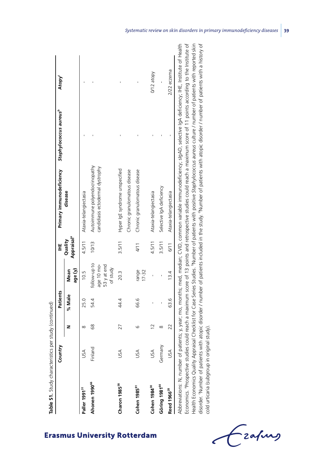|                           | Country |                | Patients |                                                        | Ï                                 | Primary immunodeficiency                                          | Staphylococcus aureus <sup>b</sup> | Atopy <sup>c</sup> |
|---------------------------|---------|----------------|----------|--------------------------------------------------------|-----------------------------------|-------------------------------------------------------------------|------------------------------------|--------------------|
|                           |         | z              | % Male   | age (y)<br>Mean                                        | Appraisal <sup>a</sup><br>Quality | disease                                                           |                                    |                    |
| Paller 1991 <sup>31</sup> | SS      | ∞              | 25.0     | 10.5                                                   | 4.5/11                            | Ataxia-telangiectasia                                             |                                    |                    |
| Ahonen 1990 <sup>66</sup> | Finland | 89             | 54.4     | follow-up to<br>age 10 mo-<br>$53y$ at end<br>of study | 10/13                             | Autoimmune polyendocrinopathy<br>candidiasis ectodermal dystrophy |                                    |                    |
| Charon 1985 <sup>38</sup> | USA     | 27             | 44.4     | 20.3                                                   | 3.5/11                            | Hyper IgE syndrome unspecified                                    |                                    |                    |
|                           |         |                |          |                                                        |                                   | Chronic granulomatous disease                                     |                                    |                    |
| Cohen 1985 <sup>81</sup>  | SA      | ဖ              | 66.6     | range<br>$17 - 32$                                     | 4/11                              | Chronic granulomatous disease                                     |                                    |                    |
| Cohen 1984 <sup>30</sup>  | USA     | $\overline{C}$ |          |                                                        | 4.5/11                            | Ataxia-telangiectasia                                             |                                    | 0/12 atopy         |
| Göring 1981 <sup>64</sup> | Germany | ∞              |          |                                                        | 3.5/11                            | Selective IgA deficiency                                          |                                    |                    |
| Reed 1966 <sup>28</sup>   | USA     | 22             | 63.6     | 13.4                                                   | 6/11                              | Ataxia-telangiectasia                                             |                                    | $2/22$ eczema      |

 $\frac{4}{10}$  of Economics. aProspective studies could reach a maximum score of 13 points and retrospective studies could reach a maximum score of 11 points according to the Institute of Health Economics Quality Appraisal Checklist for Case Series Studies. <sup>b</sup>Number of patients with positive Staphylococcus aureus culture / number of patients with reported skin Health Economics Quality Appraisal Checklist for Case Series Studies. bNumber of patients with positive *Staphylococcus aureus* culture / number of patients with reported skin disorder. 'Number of patients with atopic disorder / number of patients included in the study. 'Number of patients with atopic disorder / number of patients with a history of disorder. 'Number of patients with atopic disorder / number of patients included in the study. 'Number of patients with atopic disorder / number of patients with a history of cold urticaria (subgroup in original study). cold urticaria (subgroup in original study). ことり

-zafung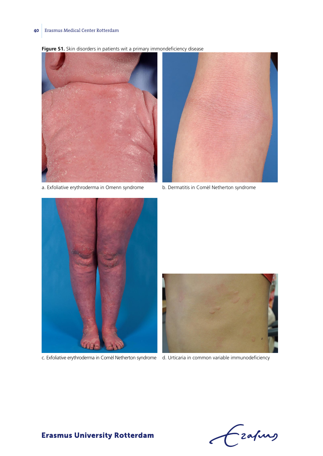**Figure S1.** Skin disorders in patients wit a primary immondeficiency disease



a. Exfoliative erythroderma in Omenn syndrome b. Dermatitis in Comèl Netherton syndrome





c. Exfoliative erythroderma in Comèl Netherton syndrome d. Urticaria in common variable immunodeficiency



Czafing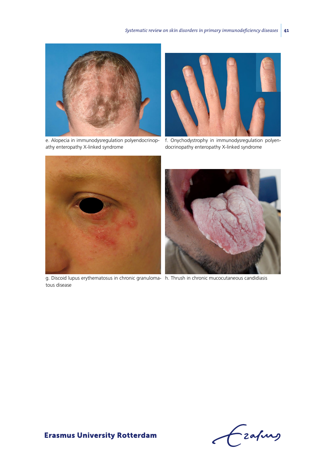

athy enteropathy X-linked syndrome



e. Alopecia in immunodysregulation polyendocrinop-f. Onychodystrophy in immunodysregulation polyendocrinopathy enteropathy X-linked syndrome



g. Discoid lupus erythematosus in chronic granuloma-h. Thrush in chronic mucocutaneous candidiasis tous disease



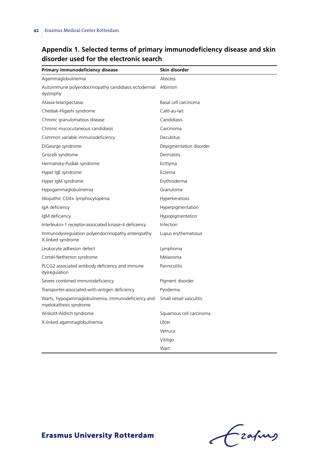# **Appendix 1. Selected terms of primary immunodeficiency disease and skin disorder used for the electronic search**

| Primary immunodeficiency disease                                             | Skin disorder           |
|------------------------------------------------------------------------------|-------------------------|
| Agammaglobulinemia                                                           | Abscess                 |
| Autoimmune polyendocrinopathy candidiasis ectodermal<br>dystrophy            | Albinism                |
| Ataxia-telangiectasia                                                        | Basal cell carcinoma    |
| Chediak-Higashi syndrome                                                     | Café-au-lait            |
| Chronic granulomatous disease                                                | Candidiasis             |
| Chronic mucocutaneous candidiasis                                            | Carcinoma               |
| Common variable immunodeficiency                                             | Decubitus               |
| DiGeorge syndrome                                                            | Depigmentation disorder |
| Griscelli syndrome                                                           | Dermatitis              |
| Hermansky-Pudlak syndrome                                                    | Ecthyma                 |
| Hyper IgE syndrome                                                           | Eczema                  |
| Hyper IgM syndrome                                                           | Erythroderma            |
| Hypogammaglobulinemia                                                        | Granuloma               |
| Idiopathic CD4+ lymphocytopenia                                              | Hyperkeratosis          |
| IgA deficiency                                                               | Hyperpigmentation       |
| IgM deficiency                                                               | Hypopigmentation        |
| Interleukin-1 receptor-associated kinase-4 deficiency                        | Infection               |
| Immunodysregulation polyendocrinopathy enteropathy<br>X-linked syndrome      | Lupus erythematosus     |
| Leukocyte adhesion defect                                                    | Lymphoma                |
| Comèl-Netherton syndrome                                                     | Melanoma                |
| PLCG2 associated antibody deficiency and immune<br>dysregulation             | Panniculitis            |
| Severe combined immunodeficiency                                             | Pigment disorder        |
| Transporter-associated-with-antigen deficiency                               | Pyoderma                |
| Warts, hypogammaglobulinemia, immunodeficiency and<br>myelokathexis syndrome | Small vessel vasculitis |
| Wiskott-Aldrich syndrome                                                     | Squamous cell carcinoma |
| X-linked agammaglobulinemia                                                  | Ulcer                   |
|                                                                              | Verruca                 |
|                                                                              | Vitiligo                |
|                                                                              | Wart                    |

Grafing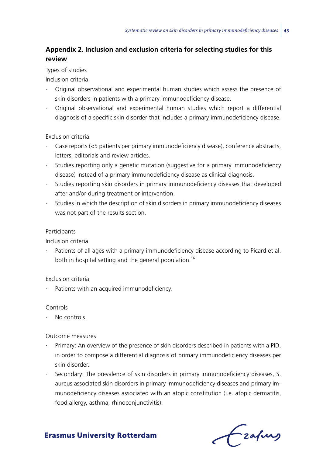# **Appendix 2. Inclusion and exclusion criteria for selecting studies for this review**

#### Types of studies

Inclusion criteria

- · Original observational and experimental human studies which assess the presence of skin disorders in patients with a primary immunodeficiency disease.
- · Original observational and experimental human studies which report a differential diagnosis of a specific skin disorder that includes a primary immunodeficiency disease.

#### Exclusion criteria

- · Case reports (<5 patients per primary immunodeficiency disease), conference abstracts, letters, editorials and review articles.
- Studies reporting only a genetic mutation (suggestive for a primary immunodeficiency disease) instead of a primary immunodeficiency disease as clinical diagnosis.
- Studies reporting skin disorders in primary immunodeficiency diseases that developed after and/or during treatment or intervention.
- · Studies in which the description of skin disorders in primary immunodeficiency diseases was not part of the results section.

#### Participants

Inclusion criteria

Patients of all ages with a primary immunodeficiency disease according to Picard et al. both in hospital setting and the general population.<sup>16</sup>

#### Exclusion criteria

Patients with an acquired immunodeficiency.

#### Controls

No controls.

#### Outcome measures

- · Primary: An overview of the presence of skin disorders described in patients with a PID, in order to compose a differential diagnosis of primary immunodeficiency diseases per skin disorder.
- Secondary: The prevalence of skin disorders in primary immunodeficiency diseases, S. aureus associated skin disorders in primary immunodeficiency diseases and primary immunodeficiency diseases associated with an atopic constitution (i.e. atopic dermatitis, food allergy, asthma, rhinoconjunctivitis).

- zafung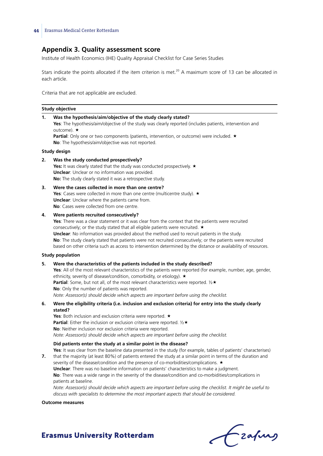# **Appendix 3. Quality assessment score**

Institute of Health Economics (IHE) Quality Appraisal Checklist for Case Series Studies

Stars indicate the points allocated if the item criterion is met.<sup>20</sup> A maximum score of 13 can be allocated in each article.

Criteria that are not applicable are excluded.

|    | Study objective                                                                                                                                                                                                                                                                                                                                                                                                                                                                                                                                                                                                                                                                                                                                                                                                                                      |
|----|------------------------------------------------------------------------------------------------------------------------------------------------------------------------------------------------------------------------------------------------------------------------------------------------------------------------------------------------------------------------------------------------------------------------------------------------------------------------------------------------------------------------------------------------------------------------------------------------------------------------------------------------------------------------------------------------------------------------------------------------------------------------------------------------------------------------------------------------------|
| 1. | Was the hypothesis/aim/objective of the study clearly stated?<br>Yes: The hypothesis/aim/objective of the study was clearly reported (includes patients, intervention and<br>outcome). $\star$<br><b>Partial</b> : Only one or two components (patients, intervention, or outcome) were included. $\star$<br>No: The hypothesis/aim/objective was not reported.                                                                                                                                                                                                                                                                                                                                                                                                                                                                                      |
|    | Study design                                                                                                                                                                                                                                                                                                                                                                                                                                                                                                                                                                                                                                                                                                                                                                                                                                         |
| 2. | Was the study conducted prospectively?<br>Yes: It was clearly stated that the study was conducted prospectively. ★<br><b>Unclear:</b> Unclear or no information was provided.<br>No: The study clearly stated it was a retrospective study.                                                                                                                                                                                                                                                                                                                                                                                                                                                                                                                                                                                                          |
| з. | Were the cases collected in more than one centre?<br>Yes: Cases were collected in more than one centre (multicentre study). $\star$<br><b>Unclear:</b> Unclear where the patients came from.<br>No: Cases were collected from one centre.                                                                                                                                                                                                                                                                                                                                                                                                                                                                                                                                                                                                            |
| 4. | Were patients recruited consecutively?<br>Yes: There was a clear statement or it was clear from the context that the patients were recruited<br>consecutively; or the study stated that all eligible patients were recruited. ★<br><b>Unclear:</b> No information was provided about the method used to recruit patients in the study.<br>No: The study clearly stated that patients were not recruited consecutively; or the patients were recruited<br>based on other criteria such as access to intervention determined by the distance or availability of resources.                                                                                                                                                                                                                                                                             |
|    | <b>Study population</b>                                                                                                                                                                                                                                                                                                                                                                                                                                                                                                                                                                                                                                                                                                                                                                                                                              |
| 5. | Were the characteristics of the patients included in the study described?<br>Yes: All of the most relevant characteristics of the patients were reported (for example, number, age, gender,<br>ethnicity, severity of disease/condition, comorbidity, or etiology). ★<br><b>Partial</b> : Some, but not all, of the most relevant characteristics were reported. $\frac{1}{2}$ *<br>No: Only the number of patients was reported.<br>Note: Assessor(s) should decide which aspects are important before using the checklist.                                                                                                                                                                                                                                                                                                                         |
| 6. | Were the eligibility criteria (i.e. inclusion and exclusion criteria) for entry into the study clearly<br>stated?<br>Yes: Both inclusion and exclusion criteria were reported. ★<br><b>Partial:</b> Either the inclusion or exclusion criteria were reported. $\frac{1}{2} \star$<br>No: Neither inclusion nor exclusion criteria were reported.                                                                                                                                                                                                                                                                                                                                                                                                                                                                                                     |
| 7. | Note: Assessor(s) should decide which aspects are important before using the checklist.<br>Did patients enter the study at a similar point in the disease?<br>Yes: It was clear from the baseline data presented in the study (for example, tables of patients' characterises)<br>that the majority (at least 80%) of patients entered the study at a similar point in terms of the duration and<br>severity of the disease/condition and the presence of co-morbidities/complications. ★<br><b>Unclear:</b> There was no baseline information on patients' characteristics to make a judgment.<br>No: There was a wide range in the severity of the disease/condition and co-morbidities/complications in<br>patients at baseline.<br>Note: Assessor(s) should decide which aspects are important before using the checklist. It might be useful to |
|    | discuss with specialists to determine the most important aspects that should be considered.                                                                                                                                                                                                                                                                                                                                                                                                                                                                                                                                                                                                                                                                                                                                                          |
|    | <b>Outcome measures</b>                                                                                                                                                                                                                                                                                                                                                                                                                                                                                                                                                                                                                                                                                                                                                                                                                              |

Czapus